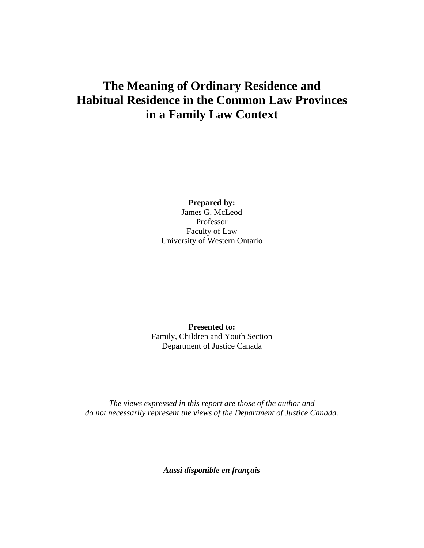# **The Meaning of Ordinary Residence and Habitual Residence in the Common Law Provinces in a Family Law Context**

**Prepared by:** James G. McLeod Professor Faculty of Law University of Western Ontario

**Presented to:**  Family, Children and Youth Section Department of Justice Canada

*The views expressed in this report are those of the author and do not necessarily represent the views of the Department of Justice Canada.* 

*Aussi disponible en français*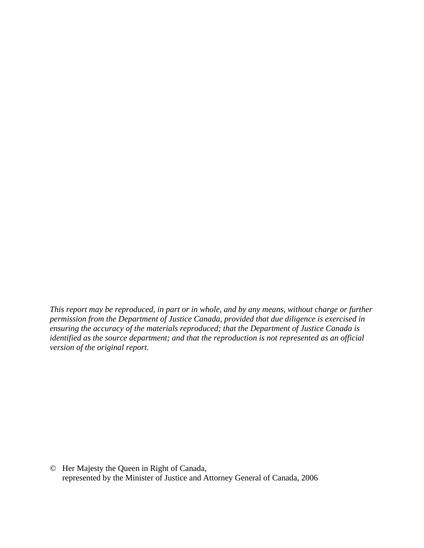*This report may be reproduced, in part or in whole, and by any means, without charge or further permission from the Department of Justice Canada, provided that due diligence is exercised in ensuring the accuracy of the materials reproduced; that the Department of Justice Canada is identified as the source department; and that the reproduction is not represented as an official version of the original report.* 

© Her Majesty the Queen in Right of Canada, represented by the Minister of Justice and Attorney General of Canada, 2006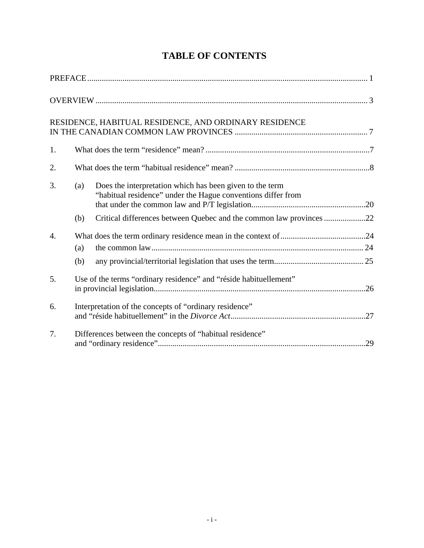|    |            | RESIDENCE, HABITUAL RESIDENCE, AND ORDINARY RESIDENCE                                                                    |  |  |
|----|------------|--------------------------------------------------------------------------------------------------------------------------|--|--|
| 1. |            |                                                                                                                          |  |  |
| 2. |            |                                                                                                                          |  |  |
| 3. | (a)        | Does the interpretation which has been given to the term<br>"habitual residence" under the Hague conventions differ from |  |  |
|    | (b)        | Critical differences between Quebec and the common law provinces 22                                                      |  |  |
| 4. | (a)<br>(b) |                                                                                                                          |  |  |
| 5. |            | Use of the terms "ordinary residence" and "réside habituellement"                                                        |  |  |
| 6. |            | Interpretation of the concepts of "ordinary residence"                                                                   |  |  |
| 7. |            | Differences between the concepts of "habitual residence"                                                                 |  |  |

# **TABLE OF CONTENTS**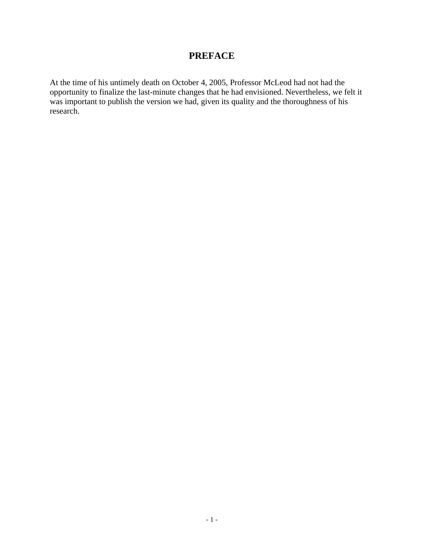## **PREFACE**

At the time of his untimely death on October 4, 2005, Professor McLeod had not had the opportunity to finalize the last-minute changes that he had envisioned. Nevertheless, we felt it was important to publish the version we had, given its quality and the thoroughness of his research.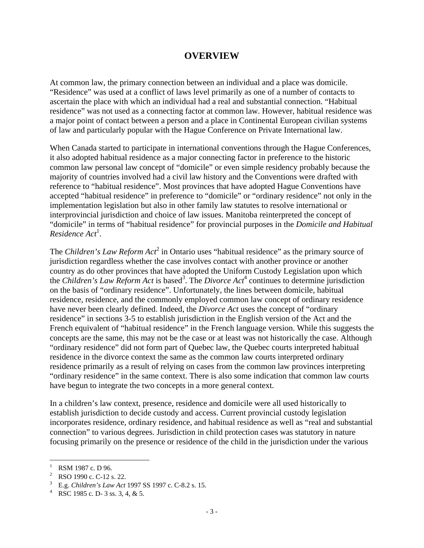### **OVERVIEW**

At common law, the primary connection between an individual and a place was domicile. "Residence" was used at a conflict of laws level primarily as one of a number of contacts to ascertain the place with which an individual had a real and substantial connection. "Habitual residence" was not used as a connecting factor at common law. However, habitual residence was a major point of contact between a person and a place in Continental European civilian systems of law and particularly popular with the Hague Conference on Private International law.

When Canada started to participate in international conventions through the Hague Conferences, it also adopted habitual residence as a major connecting factor in preference to the historic common law personal law concept of "domicile" or even simple residency probably because the majority of countries involved had a civil law history and the Conventions were drafted with reference to "habitual residence". Most provinces that have adopted Hague Conventions have accepted "habitual residence" in preference to "domicile" or "ordinary residence" not only in the implementation legislation but also in other family law statutes to resolve international or interprovincial jurisdiction and choice of law issues. Manitoba reinterpreted the concept of "domicile" in terms of "habitual residence" for provincial purposes in the *Domicile and Habitual Residence Act*<sup>1</sup> .

The *Children's Law Reform Act*<sup>2</sup> in Ontario uses "habitual residence" as the primary source of jurisdiction regardless whether the case involves contact with another province or another country as do other provinces that have adopted the Uniform Custody Legislation upon which the *Children's Law Reform Act* is based<sup>3</sup>. The *Divorce Act*<sup>4</sup> continues to determine jurisdiction on the basis of "ordinary residence". Unfortunately, the lines between domicile, habitual residence, residence, and the commonly employed common law concept of ordinary residence have never been clearly defined. Indeed, the *Divorce Act* uses the concept of "ordinary residence" in sections 3-5 to establish jurisdiction in the English version of the Act and the French equivalent of "habitual residence" in the French language version. While this suggests the concepts are the same, this may not be the case or at least was not historically the case. Although "ordinary residence" did not form part of Quebec law, the Quebec courts interpreted habitual residence in the divorce context the same as the common law courts interpreted ordinary residence primarily as a result of relying on cases from the common law provinces interpreting "ordinary residence" in the same context. There is also some indication that common law courts have begun to integrate the two concepts in a more general context.

In a children's law context, presence, residence and domicile were all used historically to establish jurisdiction to decide custody and access. Current provincial custody legislation incorporates residence, ordinary residence, and habitual residence as well as "real and substantial connection" to various degrees. Jurisdiction in child protection cases was statutory in nature focusing primarily on the presence or residence of the child in the jurisdiction under the various

<sup>1</sup> RSM 1987 c. D 96.

<sup>2</sup> RSO 1990 c. C-12 s. 22.

<sup>&</sup>lt;sup>3</sup> E.g. *Children's Law Act* 1997 SS 1997 c. C-8.2 s. 15.

<sup>&</sup>lt;sup>4</sup> RSC 1985 c. D- 3 ss. 3, 4, & 5.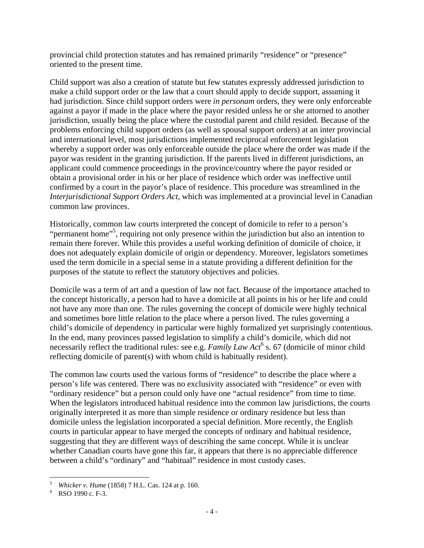provincial child protection statutes and has remained primarily "residence" or "presence" oriented to the present time.

Child support was also a creation of statute but few statutes expressly addressed jurisdiction to make a child support order or the law that a court should apply to decide support, assuming it had jurisdiction. Since child support orders were *in personam* orders, they were only enforceable against a payor if made in the place where the payor resided unless he or she attorned to another jurisdiction, usually being the place where the custodial parent and child resided. Because of the problems enforcing child support orders (as well as spousal support orders) at an inter provincial and international level, most jurisdictions implemented reciprocal enforcement legislation whereby a support order was only enforceable outside the place where the order was made if the payor was resident in the granting jurisdiction. If the parents lived in different jurisdictions, an applicant could commence proceedings in the province/country where the payor resided or obtain a provisional order in his or her place of residence which order was ineffective until confirmed by a court in the payor's place of residence. This procedure was streamlined in the *Interjurisdictional Support Orders Act*, which was implemented at a provincial level in Canadian common law provinces.

Historically, common law courts interpreted the concept of domicile to refer to a person's "permanent home"<sup>5</sup>, requiring not only presence within the jurisdiction but also an intention to remain there forever. While this provides a useful working definition of domicile of choice, it does not adequately explain domicile of origin or dependency. Moreover, legislators sometimes used the term domicile in a special sense in a statute providing a different definition for the purposes of the statute to reflect the statutory objectives and policies.

Domicile was a term of art and a question of law not fact. Because of the importance attached to the concept historically, a person had to have a domicile at all points in his or her life and could not have any more than one. The rules governing the concept of domicile were highly technical and sometimes bore little relation to the place where a person lived. The rules governing a child's domicile of dependency in particular were highly formalized yet surprisingly contentious. In the end, many provinces passed legislation to simplify a child's domicile, which did not necessarily reflect the traditional rules: see e.g. *Family Law Act*<sup>6</sup> s. 67 (domicile of minor child reflecting domicile of parent(s) with whom child is habitually resident).

The common law courts used the various forms of "residence" to describe the place where a person's life was centered. There was no exclusivity associated with "residence" or even with "ordinary residence" but a person could only have one "actual residence" from time to time. When the legislators introduced habitual residence into the common law jurisdictions, the courts originally interpreted it as more than simple residence or ordinary residence but less than domicile unless the legislation incorporated a special definition. More recently, the English courts in particular appear to have merged the concepts of ordinary and habitual residence, suggesting that they are different ways of describing the same concept. While it is unclear whether Canadian courts have gone this far, it appears that there is no appreciable difference between a child's "ordinary" and "habitual" residence in most custody cases.

 $\mathfrak{s}$ <sup>5</sup> *Whicker v. Hume* (1858) 7 H.L. Cas. 124 at p. 160. 6

 $6$  RSO 1990 c. F-3.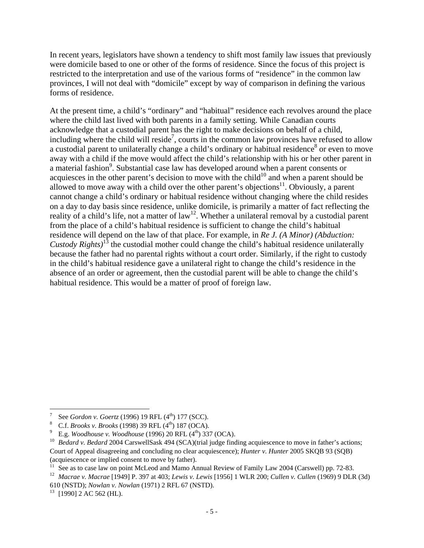In recent years, legislators have shown a tendency to shift most family law issues that previously were domicile based to one or other of the forms of residence. Since the focus of this project is restricted to the interpretation and use of the various forms of "residence" in the common law provinces, I will not deal with "domicile" except by way of comparison in defining the various forms of residence.

At the present time, a child's "ordinary" and "habitual" residence each revolves around the place where the child last lived with both parents in a family setting. While Canadian courts acknowledge that a custodial parent has the right to make decisions on behalf of a child, including where the child will reside<sup>7</sup>, courts in the common law provinces have refused to allow a custodial parent to unilaterally change a child's ordinary or habitual residence<sup>8</sup> or even to move away with a child if the move would affect the child's relationship with his or her other parent in a material fashion<sup>9</sup>. Substantial case law has developed around when a parent consents or acquiesces in the other parent's decision to move with the child<sup>10</sup> and when a parent should be allowed to move away with a child over the other parent's objections<sup>11</sup>. Obviously, a parent cannot change a child's ordinary or habitual residence without changing where the child resides on a day to day basis since residence, unlike domicile, is primarily a matter of fact reflecting the reality of a child's life, not a matter of law<sup>12</sup>. Whether a unilateral removal by a custodial parent from the place of a child's habitual residence is sufficient to change the child's habitual residence will depend on the law of that place. For example, in *Re J. (A Minor) (Abduction: Custody Rights)*13 the custodial mother could change the child's habitual residence unilaterally because the father had no parental rights without a court order. Similarly, if the right to custody in the child's habitual residence gave a unilateral right to change the child's residence in the absence of an order or agreement, then the custodial parent will be able to change the child's habitual residence. This would be a matter of proof of foreign law.

 $\overline{a}$ 7 See *Gordon v. Goertz* (1996) 19 RFL (4<sup>th</sup>) 177 (SCC).<sup>8</sup> C.f. *Brooks v. Brooks* (1998) 39 PEL (4<sup>th</sup>) 187 (OCA)

<sup>&</sup>lt;sup>8</sup> C.f. *Brooks v. Brooks* (1998) 39 RFL (4<sup>th</sup>) 187 (OCA).<br><sup>9</sup> E.g. *Woodhouse v. Woodhouse* (1996) 20 RFL (4<sup>th</sup>) 337 (OCA).

<sup>&</sup>lt;sup>10</sup> Bedard v. Bedard 2004 CarswellSask 494 (SCA)(trial judge finding acquiescence to move in father's actions; Court of Appeal disagreeing and concluding no clear acquiescence); *Hunter v. Hunter* 2005 SKQB 93 (SQB) (acquiescence or implied consent to move by father).

<sup>&</sup>lt;sup>11</sup> See as to case law on point McLeod and Mamo Annual Review of Family Law 2004 (Carswell) pp. 72-83.

<sup>12</sup> *Macrae v. Macrae* [1949] P. 397 at 403; *Lewis v. Lewis* [1956] 1 WLR 200; *Cullen v. Cullen* (1969) 9 DLR (3d) 610 (NSTD); *Nowlan v. Nowlan* (1971) 2 RFL 67 (NSTD). 13 [1990] 2 AC 562 (HL).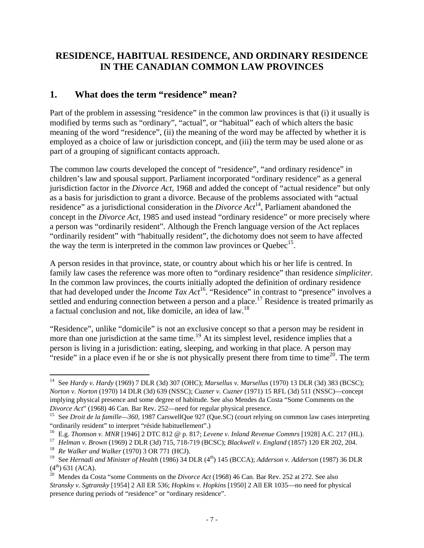### **RESIDENCE, HABITUAL RESIDENCE, AND ORDINARY RESIDENCE IN THE CANADIAN COMMON LAW PROVINCES**

### **1. What does the term "residence" mean?**

Part of the problem in assessing "residence" in the common law provinces is that (i) it usually is modified by terms such as "ordinary", "actual", or "habitual" each of which alters the basic meaning of the word "residence", (ii) the meaning of the word may be affected by whether it is employed as a choice of law or jurisdiction concept, and (iii) the term may be used alone or as part of a grouping of significant contacts approach.

The common law courts developed the concept of "residence", "and ordinary residence" in children's law and spousal support. Parliament incorporated "ordinary residence" as a general jurisdiction factor in the *Divorce Act*, 1968 and added the concept of "actual residence" but only as a basis for jurisdiction to grant a divorce. Because of the problems associated with "actual residence" as a jurisdictional consideration in the *Divorce Act*14, Parliament abandoned the concept in the *Divorce Act*, 1985 and used instead "ordinary residence" or more precisely where a person was "ordinarily resident". Although the French language version of the Act replaces "ordinarily resident" with "habitually resident", the dichotomy does not seem to have affected the way the term is interpreted in the common law provinces or Ouebec<sup>15</sup>.

A person resides in that province, state, or country about which his or her life is centred. In family law cases the reference was more often to "ordinary residence" than residence *simpliciter*. In the common law provinces, the courts initially adopted the definition of ordinary residence that had developed under the *Income Tax Act*<sup>16</sup>. "Residence" in contrast to "presence" involves a settled and enduring connection between a person and a place.<sup>17</sup> Residence is treated primarily as a factual conclusion and not, like domicile, an idea of law.18

"Residence", unlike "domicile" is not an exclusive concept so that a person may be resident in more than one jurisdiction at the same time.<sup>19</sup> At its simplest level, residence implies that a person is living in a jurisdiction: eating, sleeping, and working in that place. A person may "reside" in a place even if he or she is not physically present there from time to time $^{20}$ . The term

 $\overline{a}$ 14 See *Hardy v. Hardy* (1969) 7 DLR (3d) 307 (OHC); *Marsellus v. Marsellus* (1970) 13 DLR (3d) 383 (BCSC); *Norton v. Norton* (1970) 14 DLR (3d) 639 (NSSC); *Cuzner v. Cuzner* (1971) 15 RFL (3d) 511 (NSSC)—concept implying physical presence and some degree of habitude. See also Mendes da Costa "Some Comments on the *Divorce Act*" (1968) 46 Can. Bar Rev. 252—need for regular physical presence.<br><sup>15</sup> See *Droit de la famille—360*, 1987 CarswellQue 927 (Que.SC) (court relying on common law cases interpreting

<sup>&</sup>quot;ordinarily resident" to interpret "réside habituellement".)<br><sup>16</sup> E.g. *Thomson v. MNR* [1946] 2 DTC 812 @ p. 817; *Levene v. Inland Revenue Commrs* [1928] A.C. 217 (HL).

<sup>&</sup>lt;sup>17</sup> Helman v. Brown (1969) 2 DLR (3d) 715, 718-719 (BCSC); Blackwell v. England (1857) 120 ER 202, 204.<br><sup>18</sup> Re Walker and Walker (1970) 3 OR 771 (HCJ).

<sup>&</sup>lt;sup>19</sup> See *Hernadi and Minister of Health* (1986) 34 DLR (4<sup>th</sup>) 145 (BCCA); *Adderson v. Adderson* (1987) 36 DLR  $(4<sup>th</sup>)$  631 (ACA).<br><sup>20</sup> Mendes da Costa "some Comments on the *Divorce Act* (1968) 46 Can. Bar Rev. 252 at 272. See also

*Stransky v. Sgtransky* [1954] 2 All ER 536; *Hopkins v. Hopkins* [1950] 2 All ER 1035—no need for physical presence during periods of "residence" or "ordinary residence".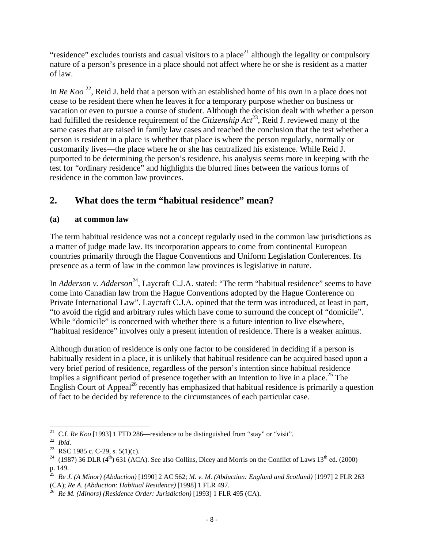"residence" excludes tourists and casual visitors to a place<sup>21</sup> although the legality or compulsory nature of a person's presence in a place should not affect where he or she is resident as a matter of law.

In *Re Koo*<sup>22</sup>, Reid J. held that a person with an established home of his own in a place does not cease to be resident there when he leaves it for a temporary purpose whether on business or vacation or even to pursue a course of student. Although the decision dealt with whether a person had fulfilled the residence requirement of the *Citizenship Act*23, Reid J. reviewed many of the same cases that are raised in family law cases and reached the conclusion that the test whether a person is resident in a place is whether that place is where the person regularly, normally or customarily lives—the place where he or she has centralized his existence. While Reid J. purported to be determining the person's residence, his analysis seems more in keeping with the test for "ordinary residence" and highlights the blurred lines between the various forms of residence in the common law provinces.

# **2. What does the term "habitual residence" mean?**

### **(a) at common law**

The term habitual residence was not a concept regularly used in the common law jurisdictions as a matter of judge made law. Its incorporation appears to come from continental European countries primarily through the Hague Conventions and Uniform Legislation Conferences. Its presence as a term of law in the common law provinces is legislative in nature.

In *Adderson v. Adderson*<sup>24</sup>, Laycraft C.J.A. stated: "The term "habitual residence" seems to have come into Canadian law from the Hague Conventions adopted by the Hague Conference on Private International Law". Laycraft C.J.A. opined that the term was introduced, at least in part, "to avoid the rigid and arbitrary rules which have come to surround the concept of "domicile". While "domicile" is concerned with whether there is a future intention to live elsewhere, "habitual residence" involves only a present intention of residence. There is a weaker animus.

Although duration of residence is only one factor to be considered in deciding if a person is habitually resident in a place, it is unlikely that habitual residence can be acquired based upon a very brief period of residence, regardless of the person's intention since habitual residence implies a significant period of presence together with an intention to live in a place.<sup>25</sup> The English Court of Appeal<sup>26</sup> recently has emphasized that habitual residence is primarily a question of fact to be decided by reference to the circumstances of each particular case.

 $\overline{a}$ <sup>21</sup> C.f. *Re Koo* [1993] 1 FTD 286—residence to be distinguished from "stay" or "visit".<br><sup>22</sup> *Ibid.* 23 RSC 1985 c. C-29, s. 5(1)(c).

<sup>&</sup>lt;sup>24</sup> (1987) 36 DLR (4<sup>th</sup>) 631 (ACA). See also Collins, Dicey and Morris on the Conflict of Laws 13<sup>th</sup> ed. (2000) p. 149.<br><sup>25</sup>  $R_{\odot}$  *i* 

<sup>25</sup> *Re J. (A Minor) (Abduction)* [1990] 2 AC 562; *M. v. M. (Abduction: England and Scotland)* [1997] 2 FLR 263 (CA); *Re A. (Abduction: Habitual Residence)* [1998] 1 FLR 497. 26 *Re M. (Minors) (Residence Order: Jurisdiction)* [1993] 1 FLR 495 (CA).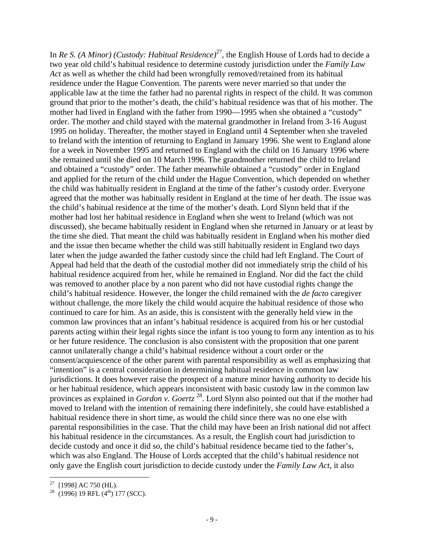In *Re S. (A Minor) (Custody: Habitual Residence)*27, the English House of Lords had to decide a two year old child's habitual residence to determine custody jurisdiction under the *Family Law Act* as well as whether the child had been wrongfully removed/retained from its habitual residence under the Hague Convention. The parents were never married so that under the applicable law at the time the father had no parental rights in respect of the child. It was common ground that prior to the mother's death, the child's habitual residence was that of his mother. The mother had lived in England with the father from 1990—1995 when she obtained a "custody" order. The mother and child stayed with the maternal grandmother in Ireland from 3-16 August 1995 on holiday. Thereafter, the mother stayed in England until 4 September when she traveled to Ireland with the intention of returning to England in January 1996. She went to England alone for a week in November 1995 and returned to England with the child on 16 January 1996 where she remained until she died on 10 March 1996. The grandmother returned the child to Ireland and obtained a "custody" order. The father meanwhile obtained a "custody" order in England and applied for the return of the child under the Hague Convention, which depended on whether the child was habitually resident in England at the time of the father's custody order. Everyone agreed that the mother was habitually resident in England at the time of her death. The issue was the child's habitual residence at the time of the mother's death. Lord Slynn held that if the mother had lost her habitual residence in England when she went to Ireland (which was not discussed), she became habitually resident in England when she returned in January or at least by the time she died. That meant the child was habitually resident in England when his mother died and the issue then became whether the child was still habitually resident in England two days later when the judge awarded the father custody since the child had left England. The Court of Appeal had held that the death of the custodial mother did not immediately strip the child of his habitual residence acquired from her, while he remained in England. Nor did the fact the child was removed to another place by a non parent who did not have custodial rights change the child's habitual residence. However, the longer the child remained with the *de facto* caregiver without challenge, the more likely the child would acquire the habitual residence of those who continued to care for him. As an aside, this is consistent with the generally held view in the common law provinces that an infant's habitual residence is acquired from his or her custodial parents acting within their legal rights since the infant is too young to form any intention as to his or her future residence. The conclusion is also consistent with the proposition that one parent cannot unilaterally change a child's habitual residence without a court order or the consent/acquiescence of the other parent with parental responsibility as well as emphasizing that "intention" is a central consideration in determining habitual residence in common law jurisdictions. It does however raise the prospect of a mature minor having authority to decide his or her habitual residence, which appears inconsistent with basic custody law in the common law provinces as explained in *Gordon v. Goertz* 28. Lord Slynn also pointed out that if the mother had moved to Ireland with the intention of remaining there indefinitely, she could have established a habitual residence there in short time, as would the child since there was no one else with parental responsibilities in the case. That the child may have been an Irish national did not affect his habitual residence in the circumstances. As a result, the English court had jurisdiction to decide custody and once it did so, the child's habitual residence became tied to the father's, which was also England. The House of Lords accepted that the child's habitual residence not only gave the English court jurisdiction to decide custody under the *Family Law Act*, it also

 $27$  [1998] AC 750 (HL).

 $28$  (1996) 19 RFL (4<sup>th</sup>) 177 (SCC).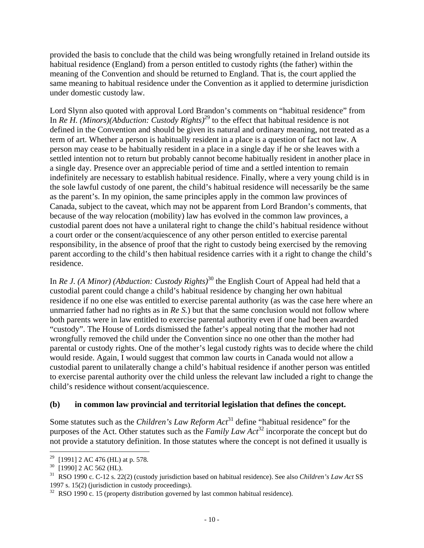provided the basis to conclude that the child was being wrongfully retained in Ireland outside its habitual residence (England) from a person entitled to custody rights (the father) within the meaning of the Convention and should be returned to England. That is, the court applied the same meaning to habitual residence under the Convention as it applied to determine jurisdiction under domestic custody law.

Lord Slynn also quoted with approval Lord Brandon's comments on "habitual residence" from In *Re H. (Minors)(Abduction: Custody Rights)*<sup>29</sup> to the effect that habitual residence is not defined in the Convention and should be given its natural and ordinary meaning, not treated as a term of art. Whether a person is habitually resident in a place is a question of fact not law. A person may cease to be habitually resident in a place in a single day if he or she leaves with a settled intention not to return but probably cannot become habitually resident in another place in a single day. Presence over an appreciable period of time and a settled intention to remain indefinitely are necessary to establish habitual residence. Finally, where a very young child is in the sole lawful custody of one parent, the child's habitual residence will necessarily be the same as the parent's. In my opinion, the same principles apply in the common law provinces of Canada, subject to the caveat, which may not be apparent from Lord Brandon's comments, that because of the way relocation (mobility) law has evolved in the common law provinces, a custodial parent does not have a unilateral right to change the child's habitual residence without a court order or the consent/acquiescence of any other person entitled to exercise parental responsibility, in the absence of proof that the right to custody being exercised by the removing parent according to the child's then habitual residence carries with it a right to change the child's residence.

In *Re J. (A Minor) (Abduction: Custody Rights*)<sup>30</sup> the English Court of Appeal had held that a custodial parent could change a child's habitual residence by changing her own habitual residence if no one else was entitled to exercise parental authority (as was the case here where an unmarried father had no rights as in *Re S.*) but that the same conclusion would not follow where both parents were in law entitled to exercise parental authority even if one had been awarded "custody". The House of Lords dismissed the father's appeal noting that the mother had not wrongfully removed the child under the Convention since no one other than the mother had parental or custody rights. One of the mother's legal custody rights was to decide where the child would reside. Again, I would suggest that common law courts in Canada would not allow a custodial parent to unilaterally change a child's habitual residence if another person was entitled to exercise parental authority over the child unless the relevant law included a right to change the child's residence without consent/acquiescence.

#### **(b) in common law provincial and territorial legislation that defines the concept.**

Some statutes such as the *Children's Law Reform Act*<sup>31</sup> define "habitual residence" for the purposes of the Act. Other statutes such as the *Family Law Act*32 incorporate the concept but do not provide a statutory definition. In those statutes where the concept is not defined it usually is

 $29\,$ <sup>29</sup> [1991] 2 AC 476 (HL) at p. 578.<br><sup>30</sup> [1990] 2 AC 562 (HL)

<sup>[1990] 2</sup> AC 562 (HL).

<sup>31</sup> RSO 1990 c. C-12 s. 22(2) (custody jurisdiction based on habitual residence). See also *Children's Law Act* SS 1997 s. 15(2) (jurisdiction in custody proceedings).

<sup>&</sup>lt;sup>32</sup> RSO 1990 c. 15 (property distribution governed by last common habitual residence).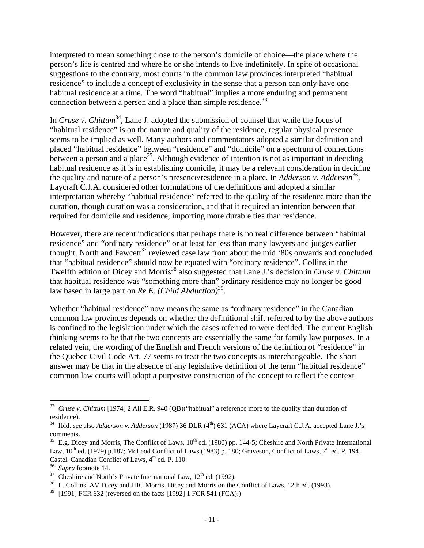interpreted to mean something close to the person's domicile of choice—the place where the person's life is centred and where he or she intends to live indefinitely. In spite of occasional suggestions to the contrary, most courts in the common law provinces interpreted "habitual residence" to include a concept of exclusivity in the sense that a person can only have one habitual residence at a time. The word "habitual" implies a more enduring and permanent connection between a person and a place than simple residence.<sup>33</sup>

In *Cruse v. Chittum*<sup>34</sup>, Lane J. adopted the submission of counsel that while the focus of "habitual residence" is on the nature and quality of the residence, regular physical presence seems to be implied as well. Many authors and commentators adopted a similar definition and placed "habitual residence" between "residence" and "domicile" on a spectrum of connections between a person and a place<sup>35</sup>. Although evidence of intention is not as important in deciding habitual residence as it is in establishing domicile, it may be a relevant consideration in deciding the quality and nature of a person's presence/residence in a place. In *Adderson v. Adderson*<sup>36</sup>, Laycraft C.J.A. considered other formulations of the definitions and adopted a similar interpretation whereby "habitual residence" referred to the quality of the residence more than the duration, though duration was a consideration, and that it required an intention between that required for domicile and residence, importing more durable ties than residence.

However, there are recent indications that perhaps there is no real difference between "habitual residence" and "ordinary residence" or at least far less than many lawyers and judges earlier thought. North and Fawcett<sup>37</sup> reviewed case law from about the mid '80s onwards and concluded that "habitual residence" should now be equated with "ordinary residence". Collins in the Twelfth edition of Dicey and Morris<sup>38</sup> also suggested that Lane J.'s decision in *Cruse v. Chittum* that habitual residence was "something more than" ordinary residence may no longer be good law based in large part on *Re E. (Child Abduction)*39.

Whether "habitual residence" now means the same as "ordinary residence" in the Canadian common law provinces depends on whether the definitional shift referred to by the above authors is confined to the legislation under which the cases referred to were decided. The current English thinking seems to be that the two concepts are essentially the same for family law purposes. In a related vein, the wording of the English and French versions of the definition of "residence" in the Quebec Civil Code Art. 77 seems to treat the two concepts as interchangeable. The short answer may be that in the absence of any legislative definition of the term "habitual residence" common law courts will adopt a purposive construction of the concept to reflect the context

<sup>33</sup> *Cruse v. Chittum* [1974] 2 All E.R. 940 (QB)("habitual" a reference more to the quality than duration of residence).

<sup>&</sup>lt;sup>34</sup> Ibid. see also *Adderson v. Adderson* (1987) 36 DLR (4<sup>th</sup>) 631 (ACA) where Laycraft C.J.A. accepted Lane J.'s comments.

<sup>&</sup>lt;sup>35</sup> E.g. Dicey and Morris, The Conflict of Laws,  $10<sup>th</sup>$  ed. (1980) pp. 144-5; Cheshire and North Private International Law,  $10^{th}$  ed. (1979) p.187; McLeod Conflict of Laws (1983) p. 180; Graveson, Conflict of Laws,  $7^{th}$  ed. P. 194, Castel, Canadian Conflict of Laws,  $4^{\text{th}}$  ed. P. 110.<br><sup>36</sup> *Supra* footnote 14.<br><sup>37</sup> Cheshire and North's Private International Law,  $12^{\text{th}}$  ed. (1992).<br><sup>38</sup> L. Collins, AV Dicey and JHC Morris, Dicey and Morris on

<sup>[1991]</sup> FCR 632 (reversed on the facts [1992] 1 FCR 541 (FCA).)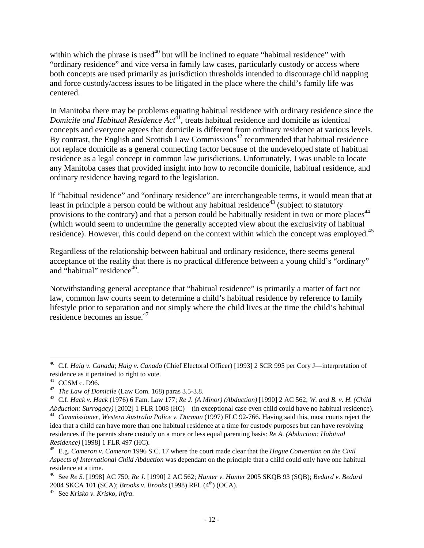within which the phrase is used<sup> $40$ </sup> but will be inclined to equate "habitual residence" with "ordinary residence" and vice versa in family law cases, particularly custody or access where both concepts are used primarily as jurisdiction thresholds intended to discourage child napping and force custody/access issues to be litigated in the place where the child's family life was centered.

In Manitoba there may be problems equating habitual residence with ordinary residence since the *Domicile and Habitual Residence Act*<sup>41</sup>, treats habitual residence and domicile as identical concepts and everyone agrees that domicile is different from ordinary residence at various levels. By contrast, the English and Scottish Law Commissions<sup> $42$ </sup> recommended that habitual residence not replace domicile as a general connecting factor because of the undeveloped state of habitual residence as a legal concept in common law jurisdictions. Unfortunately, I was unable to locate any Manitoba cases that provided insight into how to reconcile domicile, habitual residence, and ordinary residence having regard to the legislation.

If "habitual residence" and "ordinary residence" are interchangeable terms, it would mean that at least in principle a person could be without any habitual residence<sup>43</sup> (subject to statutory provisions to the contrary) and that a person could be habitually resident in two or more places<sup>44</sup> (which would seem to undermine the generally accepted view about the exclusivity of habitual residence). However, this could depend on the context within which the concept was employed.<sup>45</sup>

Regardless of the relationship between habitual and ordinary residence, there seems general acceptance of the reality that there is no practical difference between a young child's "ordinary" and "habitual" residence<sup>46</sup>.

Notwithstanding general acceptance that "habitual residence" is primarily a matter of fact not law, common law courts seem to determine a child's habitual residence by reference to family lifestyle prior to separation and not simply where the child lives at the time the child's habitual residence becomes an issue.<sup>47</sup>

 $\overline{a}$ 40 C.f. *Haig v. Canada*; *Haig v. Canada* (Chief Electoral Officer) [1993] 2 SCR 995 per Cory J—interpretation of residence as it pertained to right to vote.

<sup>&</sup>lt;sup>41</sup> CCSM c. D96.<br><sup>42</sup> *The Law of Domicile* (Law Com. 168) paras 3.5-3.8.

<sup>42</sup> *The Law of Domicile* (Law Com. 168) paras 3.5-3.8. 43 C.f. *Hack v. Hack* (1976) 6 Fam. Law 177; *Re J. (A Minor) (Abduction)* [1990] 2 AC 562; *W. and B. v. H. (Child*  Abduction: Surrogacy) [2002] 1 FLR 1008 (HC)—(in exceptional case even child could have no habitual residence).<br><sup>44</sup> Commissioner, Western Australia Police v. Dorman (1997) FLC 92-766. Having said this, most courts reject

idea that a child can have more than one habitual residence at a time for custody purposes but can have revolving residences if the parents share custody on a more or less equal parenting basis: *Re A. (Abduction: Habitual* 

<sup>&</sup>lt;sup>45</sup> E.g. *Cameron v. Cameron* 1996 S.C. 17 where the court made clear that the *Hague Convention on the Civil Aspects of International Child Abduction* was dependant on the principle that a child could only have one habitual residence at a time.

<sup>46</sup> See *Re S.* [1998] AC 750; *Re J.* [1990] 2 AC 562; *Hunter v. Hunter* 2005 SKQB 93 (SQB); *Bedard v. Bedard* 2004 SKCA 101 (SCA); *Brooks v. Brooks* (1998) RFL (4<sup>th</sup>) (OCA).<br><sup>47</sup> See *Krisko v. Krisko*, *infra*.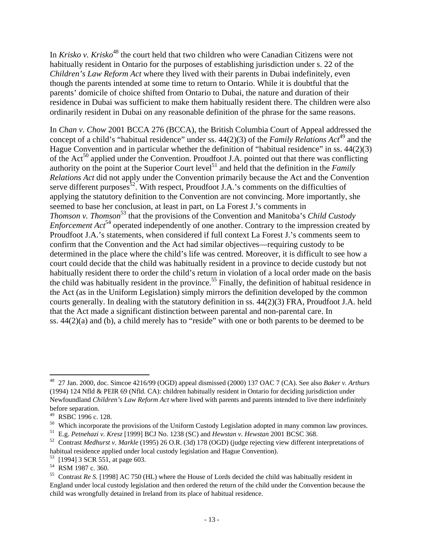In *Krisko v. Krisko*<sup>48</sup> the court held that two children who were Canadian Citizens were not habitually resident in Ontario for the purposes of establishing jurisdiction under s. 22 of the *Children's Law Reform Act* where they lived with their parents in Dubai indefinitely, even though the parents intended at some time to return to Ontario. While it is doubtful that the parents' domicile of choice shifted from Ontario to Dubai, the nature and duration of their residence in Dubai was sufficient to make them habitually resident there. The children were also ordinarily resident in Dubai on any reasonable definition of the phrase for the same reasons.

In *Chan v. Chow* 2001 BCCA 276 (BCCA), the British Columbia Court of Appeal addressed the concept of a child's "habitual residence" under ss. 44(2)(3) of the *Family Relations Act*49 and the Hague Convention and in particular whether the definition of "habitual residence" in ss. 44(2)(3) of the  $Act^{50}$  applied under the Convention. Proudfoot J.A. pointed out that there was conflicting authority on the point at the Superior Court level<sup>51</sup> and held that the definition in the *Family Relations Act* did not apply under the Convention primarily because the Act and the Convention serve different purposes<sup>52</sup>. With respect, Proudfoot J.A.'s comments on the difficulties of applying the statutory definition to the Convention are not convincing. More importantly, she seemed to base her conclusion, at least in part, on La Forest J.'s comments in *Thomson v. Thomson*<sup>53</sup> that the provisions of the Convention and Manitoba's *Child Custody Enforcement Act*<sup>54</sup> operated independently of one another. Contrary to the impression created by Proudfoot J.A.'s statements, when considered if full context La Forest J.'s comments seem to confirm that the Convention and the Act had similar objectives—requiring custody to be determined in the place where the child's life was centred. Moreover, it is difficult to see how a court could decide that the child was habitually resident in a province to decide custody but not habitually resident there to order the child's return in violation of a local order made on the basis the child was habitually resident in the province.<sup>55</sup> Finally, the definition of habitual residence in the Act (as in the Uniform Legislation) simply mirrors the definition developed by the common courts generally. In dealing with the statutory definition in ss. 44(2)(3) FRA, Proudfoot J.A. held that the Act made a significant distinction between parental and non-parental care. In ss. 44(2)(a) and (b), a child merely has to "reside" with one or both parents to be deemed to be

<sup>48 27</sup> Jan. 2000, doc. Simcoe 4216/99 (OGD) appeal dismissed (2000) 137 OAC 7 (CA). See also *Baker v. Arthurs* (1994) 124 Nfld & PEIR 69 (Nfld. CA): children habitually resident in Ontario for deciding jurisdiction under Newfoundland *Children's Law Reform Act* where lived with parents and parents intended to live there indefinitely before separation.

<sup>49</sup> RSBC 1996 c. 128.

<sup>&</sup>lt;sup>50</sup> Which incorporate the provisions of the Uniform Custody Legislation adopted in many common law provinces.<br><sup>51</sup> E.g. *Petnehazi v. Kresz* [1999] BCJ No. 1238 (SC) and *Hewstan v. Hewstan* 2001 BCSC 368.

<sup>&</sup>lt;sup>52</sup> Contrast *Medhurst v. Markle* (1995) 26 O.R. (3d) 178 (OGD) (judge rejecting view different interpretations of habitual residence applied under local custody legislation and Hague Convention).

<sup>[1994] 3</sup> SCR 551, at page 603.

<sup>54</sup> RSM 1987 c. 360.

<sup>55</sup> Contrast *Re S.* [1998] AC 750 (HL) where the House of Lords decided the child was habitually resident in England under local custody legislation and then ordered the return of the child under the Convention because the child was wrongfully detained in Ireland from its place of habitual residence.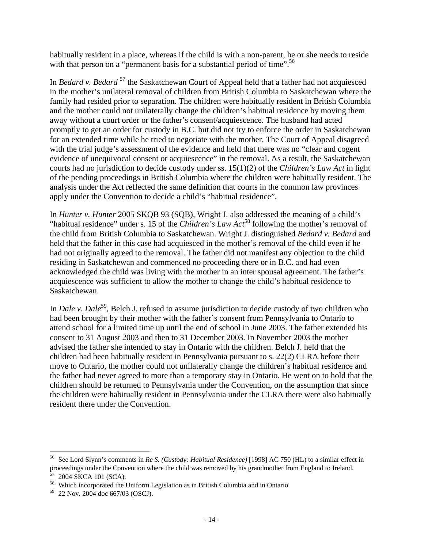habitually resident in a place, whereas if the child is with a non-parent, he or she needs to reside with that person on a "permanent basis for a substantial period of time".<sup>56</sup>

In *Bedard v. Bedard* 57 the Saskatchewan Court of Appeal held that a father had not acquiesced in the mother's unilateral removal of children from British Columbia to Saskatchewan where the family had resided prior to separation. The children were habitually resident in British Columbia and the mother could not unilaterally change the children's habitual residence by moving them away without a court order or the father's consent/acquiescence. The husband had acted promptly to get an order for custody in B.C. but did not try to enforce the order in Saskatchewan for an extended time while he tried to negotiate with the mother. The Court of Appeal disagreed with the trial judge's assessment of the evidence and held that there was no "clear and cogent evidence of unequivocal consent or acquiescence" in the removal. As a result, the Saskatchewan courts had no jurisdiction to decide custody under ss. 15(1)(2) of the *Children's Law Act* in light of the pending proceedings in British Columbia where the children were habitually resident. The analysis under the Act reflected the same definition that courts in the common law provinces apply under the Convention to decide a child's "habitual residence".

In *Hunter v. Hunter* 2005 SKQB 93 (SQB), Wright J. also addressed the meaning of a child's "habitual residence" under s. 15 of the *Children's Law Act*<sup>58</sup> following the mother's removal of the child from British Columbia to Saskatchewan. Wright J. distinguished *Bedard v. Bedard* and held that the father in this case had acquiesced in the mother's removal of the child even if he had not originally agreed to the removal. The father did not manifest any objection to the child residing in Saskatchewan and commenced no proceeding there or in B.C. and had even acknowledged the child was living with the mother in an inter spousal agreement. The father's acquiescence was sufficient to allow the mother to change the child's habitual residence to Saskatchewan.

In *Dale v. Dale*<sup>59</sup>, Belch J. refused to assume jurisdiction to decide custody of two children who had been brought by their mother with the father's consent from Pennsylvania to Ontario to attend school for a limited time up until the end of school in June 2003. The father extended his consent to 31 August 2003 and then to 31 December 2003. In November 2003 the mother advised the father she intended to stay in Ontario with the children. Belch J. held that the children had been habitually resident in Pennsylvania pursuant to s. 22(2) CLRA before their move to Ontario, the mother could not unilaterally change the children's habitual residence and the father had never agreed to more than a temporary stay in Ontario. He went on to hold that the children should be returned to Pennsylvania under the Convention, on the assumption that since the children were habitually resident in Pennsylvania under the CLRA there were also habitually resident there under the Convention.

1

<sup>56</sup> See Lord Slynn's comments in *Re S. (Custody: Habitual Residence)* [1998] AC 750 (HL) to a similar effect in proceedings under the Convention where the child was removed by his grandmother from England to Ireland.<br>57, 2004 SKGA 101 (SGA) 2004 SKCA 101 (SCA).

<sup>58</sup> Which incorporated the Uniform Legislation as in British Columbia and in Ontario.

<sup>59 22</sup> Nov. 2004 doc 667/03 (OSCJ).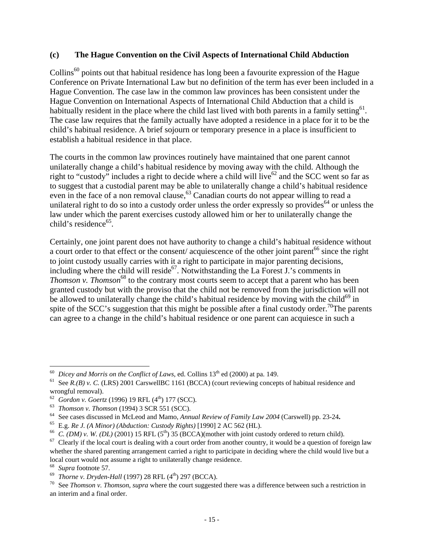#### **(c) The Hague Convention on the Civil Aspects of International Child Abduction**

Collins<sup>60</sup> points out that habitual residence has long been a favourite expression of the Hague Conference on Private International Law but no definition of the term has ever been included in a Hague Convention. The case law in the common law provinces has been consistent under the Hague Convention on International Aspects of International Child Abduction that a child is habitually resident in the place where the child last lived with both parents in a family setting<sup>61</sup>. The case law requires that the family actually have adopted a residence in a place for it to be the child's habitual residence. A brief sojourn or temporary presence in a place is insufficient to establish a habitual residence in that place.

The courts in the common law provinces routinely have maintained that one parent cannot unilaterally change a child's habitual residence by moving away with the child. Although the right to "custody" includes a right to decide where a child will live<sup>62</sup> and the SCC went so far as to suggest that a custodial parent may be able to unilaterally change a child's habitual residence even in the face of a non removal clause,  $^{63}$  Canadian courts do not appear willing to read a unilateral right to do so into a custody order unless the order expressly so provides<sup> $64$ </sup> or unless the law under which the parent exercises custody allowed him or her to unilaterally change the child's residence $65$ .

Certainly, one joint parent does not have authority to change a child's habitual residence without a court order to that effect or the consent/ acquiescence of the other joint parent<sup>66</sup> since the right to joint custody usually carries with it a right to participate in major parenting decisions, including where the child will reside<sup>67</sup>. Notwithstanding the La Forest J.'s comments in *Thomson v. Thomson*<sup>68</sup> to the contrary most courts seem to accept that a parent who has been granted custody but with the proviso that the child not be removed from the jurisdiction will not be allowed to unilaterally change the child's habitual residence by moving with the child<sup>69</sup> in spite of the SCC's suggestion that this might be possible after a final custody order.<sup>70</sup>The parents can agree to a change in the child's habitual residence or one parent can acquiesce in such a

<sup>&</sup>lt;sup>60</sup> Dicey and Morris on the Conflict of Laws, ed. Collins  $13<sup>th</sup>$  ed (2000) at pa. 149.

See *R*.(*B*) *v. C.* (LRS) 2001 CarswellBC 1161 (BCCA) (court reviewing concepts of habitual residence and wrongful removal).<br>
<sup>62</sup> Gordon v. Goertz (1996) 19 RFL (4<sup>th</sup>) 177 (SCC).

<sup>&</sup>lt;sup>63</sup> *Thomson v. Thomson* (1994) 3 SCR 551 (SCC).<br><sup>64</sup> See cases discussed in McLeod and Mamo, *Annual Review of Family Law 2004* (Carswell) pp. 23-24.<br><sup>65</sup> E.g. *Re J. (A Minor) (Abduction: Custody Rights)* [1990] 2 AC 56

<sup>&</sup>lt;sup>66</sup> *C. (DM) v. W. (DL)* (2001) 15 RFL (5<sup>th</sup>) 35 (BCCA)(mother with joint custody ordered to return child).<br><sup>67</sup> Clearly if the local court is dealing with a court order from another country, it would be a questio whether the shared parenting arrangement carried a right to participate in deciding where the child would live but a local court would not assume a right to unilaterally change residence.

<sup>&</sup>lt;sup>68</sup> *Supra* footnote 57.<br><sup>69</sup> *Thorne v. Dryden-Hall* (1997) 28 RFL (4<sup>th</sup>) 297 (BCCA).<br><sup>70</sup> See *Thomson v. Thomson, supra* where the court suggested there was a difference between such a restriction in an interim and a final order.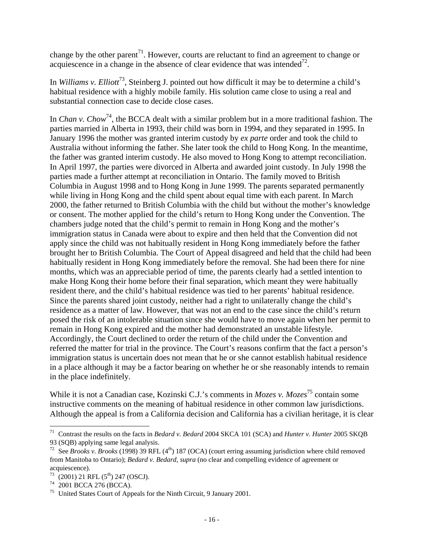change by the other parent<sup>71</sup>. However, courts are reluctant to find an agreement to change or acquiescence in a change in the absence of clear evidence that was intended<sup>72</sup>.

In *Williams v. Elliott*73, Steinberg J. pointed out how difficult it may be to determine a child's habitual residence with a highly mobile family. His solution came close to using a real and substantial connection case to decide close cases.

In *Chan v. Chow*<sup>74</sup>, the BCCA dealt with a similar problem but in a more traditional fashion. The parties married in Alberta in 1993, their child was born in 1994, and they separated in 1995. In January 1996 the mother was granted interim custody by *ex parte* order and took the child to Australia without informing the father. She later took the child to Hong Kong. In the meantime, the father was granted interim custody. He also moved to Hong Kong to attempt reconciliation. In April 1997, the parties were divorced in Alberta and awarded joint custody. In July 1998 the parties made a further attempt at reconciliation in Ontario. The family moved to British Columbia in August 1998 and to Hong Kong in June 1999. The parents separated permanently while living in Hong Kong and the child spent about equal time with each parent. In March 2000, the father returned to British Columbia with the child but without the mother's knowledge or consent. The mother applied for the child's return to Hong Kong under the Convention. The chambers judge noted that the child's permit to remain in Hong Kong and the mother's immigration status in Canada were about to expire and then held that the Convention did not apply since the child was not habitually resident in Hong Kong immediately before the father brought her to British Columbia. The Court of Appeal disagreed and held that the child had been habitually resident in Hong Kong immediately before the removal. She had been there for nine months, which was an appreciable period of time, the parents clearly had a settled intention to make Hong Kong their home before their final separation, which meant they were habitually resident there, and the child's habitual residence was tied to her parents' habitual residence. Since the parents shared joint custody, neither had a right to unilaterally change the child's residence as a matter of law. However, that was not an end to the case since the child's return posed the risk of an intolerable situation since she would have to move again when her permit to remain in Hong Kong expired and the mother had demonstrated an unstable lifestyle. Accordingly, the Court declined to order the return of the child under the Convention and referred the matter for trial in the province. The Court's reasons confirm that the fact a person's immigration status is uncertain does not mean that he or she cannot establish habitual residence in a place although it may be a factor bearing on whether he or she reasonably intends to remain in the place indefinitely.

While it is not a Canadian case, Kozinski C.J.'s comments in *Mozes* v. Mozes<sup>75</sup> contain some instructive comments on the meaning of habitual residence in other common law jurisdictions. Although the appeal is from a California decision and California has a civilian heritage, it is clear

<sup>71</sup> Contrast the results on the facts in *Bedard v. Bedard* 2004 SKCA 101 (SCA) and *Hunter v. Hunter* 2005 SKQB 93 (SQB) applying same legal analysis.

<sup>&</sup>lt;sup>72</sup> See *Brooks v. Brooks* (1998) 39 RFL (4<sup>th</sup>) 187 (OCA) (court erring assuming jurisdiction where child removed from Manitoba to Ontario); *Bedard v. Bedard*, *supra* (no clear and compelling evidence of agreement or acquiescence).

 $73 \over 74$  (2001) 21 RFL (5<sup>th</sup>) 247 (OSCJ).<br>
<sup>74</sup> 2001 BCCA 276 (BCCA).

<sup>75</sup> United States Court of Appeals for the Ninth Circuit, 9 January 2001.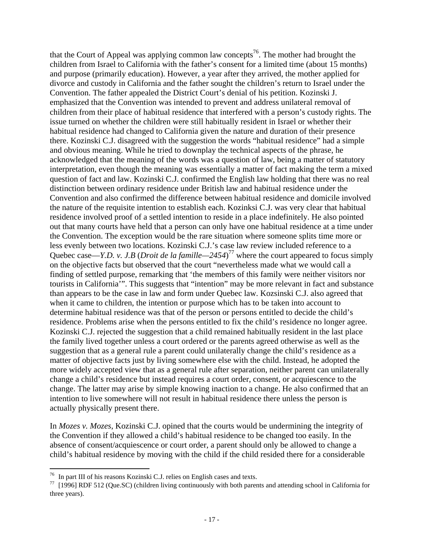that the Court of Appeal was applying common law concepts<sup>76</sup>. The mother had brought the children from Israel to California with the father's consent for a limited time (about 15 months) and purpose (primarily education). However, a year after they arrived, the mother applied for divorce and custody in California and the father sought the children's return to Israel under the Convention. The father appealed the District Court's denial of his petition. Kozinski J. emphasized that the Convention was intended to prevent and address unilateral removal of children from their place of habitual residence that interfered with a person's custody rights. The issue turned on whether the children were still habitually resident in Israel or whether their habitual residence had changed to California given the nature and duration of their presence there. Kozinski C.J. disagreed with the suggestion the words "habitual residence" had a simple and obvious meaning. While he tried to downplay the technical aspects of the phrase, he acknowledged that the meaning of the words was a question of law, being a matter of statutory interpretation, even though the meaning was essentially a matter of fact making the term a mixed question of fact and law. Kozinski C.J. confirmed the English law holding that there was no real distinction between ordinary residence under British law and habitual residence under the Convention and also confirmed the difference between habitual residence and domicile involved the nature of the requisite intention to establish each. Kozinksi C.J. was very clear that habitual residence involved proof of a settled intention to reside in a place indefinitely. He also pointed out that many courts have held that a person can only have one habitual residence at a time under the Convention. The exception would be the rare situation where someone splits time more or less evenly between two locations. Kozinski C.J.'s case law review included reference to a Quebec case—*Y.D. v. J.B* (*Droit de la famille—2454*) 77 where the court appeared to focus simply on the objective facts but observed that the court "nevertheless made what we would call a finding of settled purpose, remarking that 'the members of this family were neither visitors nor tourists in California'". This suggests that "intention" may be more relevant in fact and substance than appears to be the case in law and form under Quebec law. Kozsinski C.J. also agreed that when it came to children, the intention or purpose which has to be taken into account to determine habitual residence was that of the person or persons entitled to decide the child's residence. Problems arise when the persons entitled to fix the child's residence no longer agree. Kozinski C.J. rejected the suggestion that a child remained habitually resident in the last place the family lived together unless a court ordered or the parents agreed otherwise as well as the suggestion that as a general rule a parent could unilaterally change the child's residence as a matter of objective facts just by living somewhere else with the child. Instead, he adopted the more widely accepted view that as a general rule after separation, neither parent can unilaterally change a child's residence but instead requires a court order, consent, or acquiescence to the change. The latter may arise by simple knowing inaction to a change. He also confirmed that an intention to live somewhere will not result in habitual residence there unless the person is actually physically present there.

In *Mozes v. Mozes*, Kozinski C.J. opined that the courts would be undermining the integrity of the Convention if they allowed a child's habitual residence to be changed too easily. In the absence of consent/acquiescence or court order, a parent should only be allowed to change a child's habitual residence by moving with the child if the child resided there for a considerable

 $76$  In part III of his reasons Kozinski C.J. relies on English cases and texts.

 $77$  [1996] RDF 512 (Que.SC) (children living continuously with both parents and attending school in California for three years).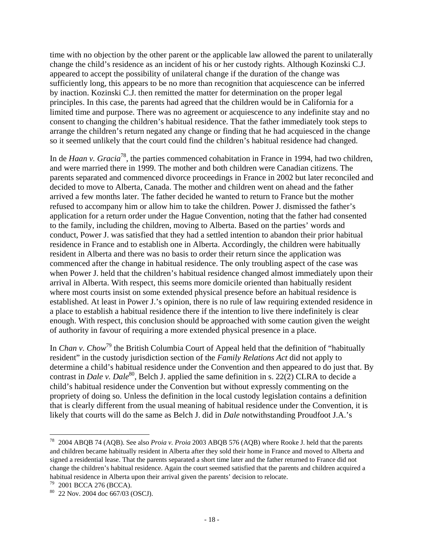time with no objection by the other parent or the applicable law allowed the parent to unilaterally change the child's residence as an incident of his or her custody rights. Although Kozinski C.J. appeared to accept the possibility of unilateral change if the duration of the change was sufficiently long, this appears to be no more than recognition that acquiescence can be inferred by inaction. Kozinski C.J. then remitted the matter for determination on the proper legal principles. In this case, the parents had agreed that the children would be in California for a limited time and purpose. There was no agreement or acquiescence to any indefinite stay and no consent to changing the children's habitual residence. That the father immediately took steps to arrange the children's return negated any change or finding that he had acquiesced in the change so it seemed unlikely that the court could find the children's habitual residence had changed.

In de *Haan v. Gracia*78, the parties commenced cohabitation in France in 1994, had two children, and were married there in 1999. The mother and both children were Canadian citizens. The parents separated and commenced divorce proceedings in France in 2002 but later reconciled and decided to move to Alberta, Canada. The mother and children went on ahead and the father arrived a few months later. The father decided he wanted to return to France but the mother refused to accompany him or allow him to take the children. Power J. dismissed the father's application for a return order under the Hague Convention, noting that the father had consented to the family, including the children, moving to Alberta. Based on the parties' words and conduct, Power J. was satisfied that they had a settled intention to abandon their prior habitual residence in France and to establish one in Alberta. Accordingly, the children were habitually resident in Alberta and there was no basis to order their return since the application was commenced after the change in habitual residence. The only troubling aspect of the case was when Power J. held that the children's habitual residence changed almost immediately upon their arrival in Alberta. With respect, this seems more domicile oriented than habitually resident where most courts insist on some extended physical presence before an habitual residence is established. At least in Power J.'s opinion, there is no rule of law requiring extended residence in a place to establish a habitual residence there if the intention to live there indefinitely is clear enough. With respect, this conclusion should be approached with some caution given the weight of authority in favour of requiring a more extended physical presence in a place.

In *Chan v. Chow*<sup>79</sup> the British Columbia Court of Appeal held that the definition of "habitually" resident" in the custody jurisdiction section of the *Family Relations Act* did not apply to determine a child's habitual residence under the Convention and then appeared to do just that. By contrast in *Dale v. Dale*<sup>80</sup>, Belch J. applied the same definition in s. 22(2) CLRA to decide a child's habitual residence under the Convention but without expressly commenting on the propriety of doing so. Unless the definition in the local custody legislation contains a definition that is clearly different from the usual meaning of habitual residence under the Convention, it is likely that courts will do the same as Belch J. did in *Dale* notwithstanding Proudfoot J.A.'s

1

<sup>78 2004</sup> ABQB 74 (AQB). See also *Proia v. Proia* 2003 ABQB 576 (AQB) where Rooke J. held that the parents and children became habitually resident in Alberta after they sold their home in France and moved to Alberta and signed a residential lease. That the parents separated a short time later and the father returned to France did not change the children's habitual residence. Again the court seemed satisfied that the parents and children acquired a habitual residence in Alberta upon their arrival given the parents' decision to relocate.<br><sup>79</sup> 2001 BCCA 276 (BCCA).

<sup>80 22</sup> Nov. 2004 doc 667/03 (OSCJ).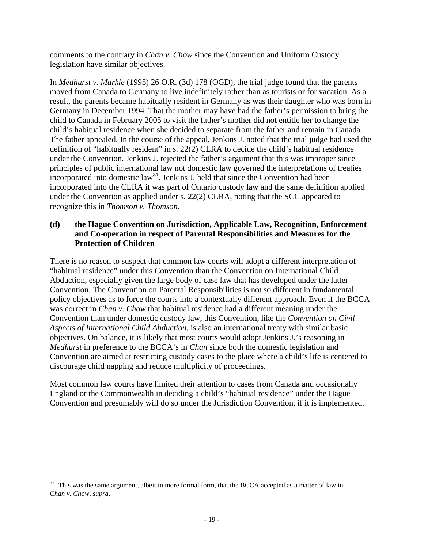comments to the contrary in *Chan v. Chow* since the Convention and Uniform Custody legislation have similar objectives.

In *Medhurst v. Markle* (1995) 26 O.R. (3d) 178 (OGD), the trial judge found that the parents moved from Canada to Germany to live indefinitely rather than as tourists or for vacation. As a result, the parents became habitually resident in Germany as was their daughter who was born in Germany in December 1994. That the mother may have had the father's permission to bring the child to Canada in February 2005 to visit the father's mother did not entitle her to change the child's habitual residence when she decided to separate from the father and remain in Canada. The father appealed. In the course of the appeal, Jenkins J. noted that the trial judge had used the definition of "habitually resident" in s. 22(2) CLRA to decide the child's habitual residence under the Convention. Jenkins J. rejected the father's argument that this was improper since principles of public international law not domestic law governed the interpretations of treaties incorporated into domestic law<sup>81</sup>. Jenkins J. held that since the Convention had been incorporated into the CLRA it was part of Ontario custody law and the same definition applied under the Convention as applied under s. 22(2) CLRA, noting that the SCC appeared to recognize this in *Thomson v. Thomson*.

#### **(d) the Hague Convention on Jurisdiction, Applicable Law, Recognition, Enforcement and Co-operation in respect of Parental Responsibilities and Measures for the Protection of Children**

There is no reason to suspect that common law courts will adopt a different interpretation of "habitual residence" under this Convention than the Convention on International Child Abduction, especially given the large body of case law that has developed under the latter Convention. The Convention on Parental Responsibilities is not so different in fundamental policy objectives as to force the courts into a contextually different approach. Even if the BCCA was correct in *Chan v. Chow* that habitual residence had a different meaning under the Convention than under domestic custody law, this Convention, like the *Convention on Civil Aspects of International Child Abduction*, is also an international treaty with similar basic objectives. On balance, it is likely that most courts would adopt Jenkins J.'s reasoning in *Medhurst* in preference to the BCCA's in *Chan* since both the domestic legislation and Convention are aimed at restricting custody cases to the place where a child's life is centered to discourage child napping and reduce multiplicity of proceedings.

Most common law courts have limited their attention to cases from Canada and occasionally England or the Commonwealth in deciding a child's "habitual residence" under the Hague Convention and presumably will do so under the Jurisdiction Convention, if it is implemented.

<u>.</u>

<sup>&</sup>lt;sup>81</sup> This was the same argument, albeit in more formal form, that the BCCA accepted as a matter of law in *Chan v. Chow*, *supra*.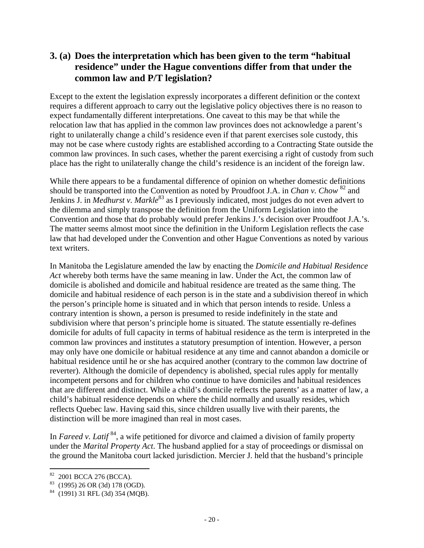### **3. (a) Does the interpretation which has been given to the term "habitual residence" under the Hague conventions differ from that under the common law and P/T legislation?**

Except to the extent the legislation expressly incorporates a different definition or the context requires a different approach to carry out the legislative policy objectives there is no reason to expect fundamentally different interpretations. One caveat to this may be that while the relocation law that has applied in the common law provinces does not acknowledge a parent's right to unilaterally change a child's residence even if that parent exercises sole custody, this may not be case where custody rights are established according to a Contracting State outside the common law provinces. In such cases, whether the parent exercising a right of custody from such place has the right to unilaterally change the child's residence is an incident of the foreign law.

While there appears to be a fundamental difference of opinion on whether domestic definitions should be transported into the Convention as noted by Proudfoot J.A. in *Chan v. Chow* 82 and Jenkins J. in *Medhurst v. Markle*<sup>83</sup> as I previously indicated, most judges do not even advert to the dilemma and simply transpose the definition from the Uniform Legislation into the Convention and those that do probably would prefer Jenkins J.'s decision over Proudfoot J.A.'s. The matter seems almost moot since the definition in the Uniform Legislation reflects the case law that had developed under the Convention and other Hague Conventions as noted by various text writers.

In Manitoba the Legislature amended the law by enacting the *Domicile and Habitual Residence Act* whereby both terms have the same meaning in law. Under the Act, the common law of domicile is abolished and domicile and habitual residence are treated as the same thing. The domicile and habitual residence of each person is in the state and a subdivision thereof in which the person's principle home is situated and in which that person intends to reside. Unless a contrary intention is shown, a person is presumed to reside indefinitely in the state and subdivision where that person's principle home is situated. The statute essentially re-defines domicile for adults of full capacity in terms of habitual residence as the term is interpreted in the common law provinces and institutes a statutory presumption of intention. However, a person may only have one domicile or habitual residence at any time and cannot abandon a domicile or habitual residence until he or she has acquired another (contrary to the common law doctrine of reverter). Although the domicile of dependency is abolished, special rules apply for mentally incompetent persons and for children who continue to have domiciles and habitual residences that are different and distinct. While a child's domicile reflects the parents' as a matter of law, a child's habitual residence depends on where the child normally and usually resides, which reflects Quebec law. Having said this, since children usually live with their parents, the distinction will be more imagined than real in most cases.

In *Fareed v. Latif*<sup>84</sup>, a wife petitioned for divorce and claimed a division of family property under the *Marital Property Act*. The husband applied for a stay of proceedings or dismissal on the ground the Manitoba court lacked jurisdiction. Mercier J. held that the husband's principle

 $\overline{a}$ <sup>82</sup> 2001 BCCA 276 (BCCA).

<sup>83 (1995) 26</sup> OR (3d) 178 (OGD).

 $84$  (1991) 31 RFL (3d) 354 (MOB).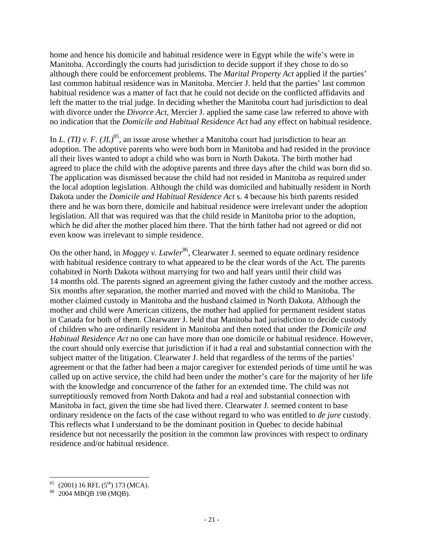home and hence his domicile and habitual residence were in Egypt while the wife's were in Manitoba. Accordingly the courts had jurisdiction to decide support if they chose to do so although there could be enforcement problems. The *Marital Property Act* applied if the parties' last common habitual residence was in Manitoba. Mercier J. held that the parties' last common habitual residence was a matter of fact that he could not decide on the conflicted affidavits and left the matter to the trial judge. In deciding whether the Manitoba court had jurisdiction to deal with divorce under the *Divorce Act*, Mercier J. applied the same case law referred to above with no indication that the *Domicile and Habitual Residence Act* had any effect on habitual residence.

In *L. (TI) v. F.*  $(JL)^{85}$ *,* an issue arose whether a Manitoba court had jurisdiction to hear an adoption. The adoptive parents who were both born in Manitoba and had resided in the province all their lives wanted to adopt a child who was born in North Dakota. The birth mother had agreed to place the child with the adoptive parents and three days after the child was born did so. The application was dismissed because the child had not resided in Manitoba as required under the local adoption legislation. Although the child was domiciled and habitually resident in North Dakota under the *Domicile and Habitual Residence Act* s. 4 because his birth parents resided there and he was born there, domicile and habitual residence were irrelevant under the adoption legislation. All that was required was that the child reside in Manitoba prior to the adoption, which he did after the mother placed him there. That the birth father had not agreed or did not even know was irrelevant to simple residence.

On the other hand, in *Moggey v. Lawler*<sup>86</sup>, Clearwater J. seemed to equate ordinary residence with habitual residence contrary to what appeared to be the clear words of the Act. The parents cohabited in North Dakota without marrying for two and half years until their child was 14 months old. The parents signed an agreement giving the father custody and the mother access. Six months after separation, the mother married and moved with the child to Manitoba. The mother claimed custody in Manitoba and the husband claimed in North Dakota. Although the mother and child were American citizens, the mother had applied for permanent resident status in Canada for both of them. Clearwater J. held that Manitoba had jurisdiction to decide custody of children who are ordinarily resident in Manitoba and then noted that under the *Domicile and Habitual Residence Act* no one can have more than one domicile or habitual residence. However, the court should only exercise that jurisdiction if it had a real and substantial connection with the subject matter of the litigation. Clearwater J. held that regardless of the terms of the parties' agreement or that the father had been a major caregiver for extended periods of time until he was called up on active service, the child had been under the mother's care for the majority of her life with the knowledge and concurrence of the father for an extended time. The child was not surreptitiously removed from North Dakota and had a real and substantial connection with Manitoba in fact, given the time she had lived there. Clearwater J. seemed content to base ordinary residence on the facts of the case without regard to who was entitled to *de jure* custody. This reflects what I understand to be the dominant position in Quebec to decide habitual residence but not necessarily the position in the common law provinces with respect to ordinary residence and/or habitual residence.

 $_{85}^{85}$  (2001) 16 RFL (5<sup>th</sup>) 173 (MCA).<br><sup>86</sup> 2004 MBQB 198 (MQB).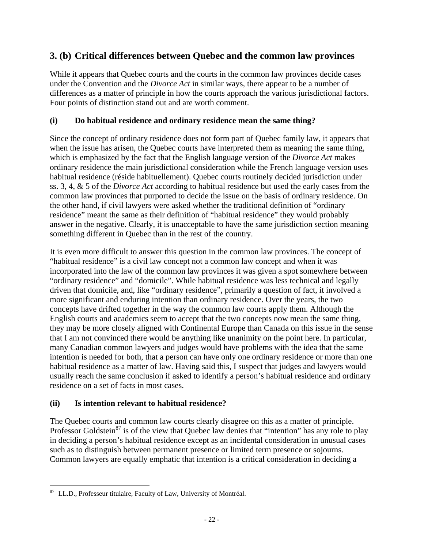### **3. (b) Critical differences between Quebec and the common law provinces**

While it appears that Quebec courts and the courts in the common law provinces decide cases under the Convention and the *Divorce Act* in similar ways, there appear to be a number of differences as a matter of principle in how the courts approach the various jurisdictional factors. Four points of distinction stand out and are worth comment.

#### **(i) Do habitual residence and ordinary residence mean the same thing?**

Since the concept of ordinary residence does not form part of Quebec family law, it appears that when the issue has arisen, the Quebec courts have interpreted them as meaning the same thing, which is emphasized by the fact that the English language version of the *Divorce Act* makes ordinary residence the main jurisdictional consideration while the French language version uses habitual residence (réside habituellement). Quebec courts routinely decided jurisdiction under ss. 3, 4, & 5 of the *Divorce Act* according to habitual residence but used the early cases from the common law provinces that purported to decide the issue on the basis of ordinary residence. On the other hand, if civil lawyers were asked whether the traditional definition of "ordinary residence" meant the same as their definition of "habitual residence" they would probably answer in the negative. Clearly, it is unacceptable to have the same jurisdiction section meaning something different in Quebec than in the rest of the country.

It is even more difficult to answer this question in the common law provinces. The concept of "habitual residence" is a civil law concept not a common law concept and when it was incorporated into the law of the common law provinces it was given a spot somewhere between "ordinary residence" and "domicile". While habitual residence was less technical and legally driven that domicile, and, like "ordinary residence", primarily a question of fact, it involved a more significant and enduring intention than ordinary residence. Over the years, the two concepts have drifted together in the way the common law courts apply them. Although the English courts and academics seem to accept that the two concepts now mean the same thing, they may be more closely aligned with Continental Europe than Canada on this issue in the sense that I am not convinced there would be anything like unanimity on the point here. In particular, many Canadian common lawyers and judges would have problems with the idea that the same intention is needed for both, that a person can have only one ordinary residence or more than one habitual residence as a matter of law. Having said this, I suspect that judges and lawyers would usually reach the same conclusion if asked to identify a person's habitual residence and ordinary residence on a set of facts in most cases.

### **(ii) Is intention relevant to habitual residence?**

The Quebec courts and common law courts clearly disagree on this as a matter of principle. Professor Goldstein<sup>87</sup> is of the view that Quebec law denies that "intention" has any role to play in deciding a person's habitual residence except as an incidental consideration in unusual cases such as to distinguish between permanent presence or limited term presence or sojourns. Common lawyers are equally emphatic that intention is a critical consideration in deciding a

 $\overline{a}$ <sup>87</sup> LL.D., Professeur titulaire, Faculty of Law, University of Montréal.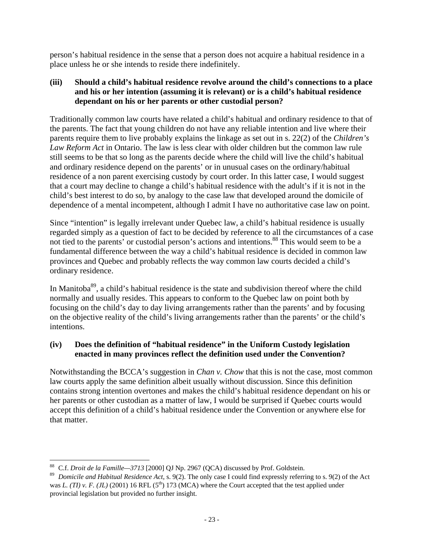person's habitual residence in the sense that a person does not acquire a habitual residence in a place unless he or she intends to reside there indefinitely.

#### **(iii) Should a child's habitual residence revolve around the child's connections to a place and his or her intention (assuming it is relevant) or is a child's habitual residence dependant on his or her parents or other custodial person?**

Traditionally common law courts have related a child's habitual and ordinary residence to that of the parents. The fact that young children do not have any reliable intention and live where their parents require them to live probably explains the linkage as set out in s. 22(2) of the *Children's Law Reform Act* in Ontario. The law is less clear with older children but the common law rule still seems to be that so long as the parents decide where the child will live the child's habitual and ordinary residence depend on the parents' or in unusual cases on the ordinary/habitual residence of a non parent exercising custody by court order. In this latter case, I would suggest that a court may decline to change a child's habitual residence with the adult's if it is not in the child's best interest to do so, by analogy to the case law that developed around the domicile of dependence of a mental incompetent, although I admit I have no authoritative case law on point.

Since "intention" is legally irrelevant under Quebec law, a child's habitual residence is usually regarded simply as a question of fact to be decided by reference to all the circumstances of a case not tied to the parents' or custodial person's actions and intentions.<sup>88</sup> This would seem to be a fundamental difference between the way a child's habitual residence is decided in common law provinces and Quebec and probably reflects the way common law courts decided a child's ordinary residence.

In Manitoba<sup>89</sup>, a child's habitual residence is the state and subdivision thereof where the child normally and usually resides. This appears to conform to the Quebec law on point both by focusing on the child's day to day living arrangements rather than the parents' and by focusing on the objective reality of the child's living arrangements rather than the parents' or the child's intentions.

#### **(iv) Does the definition of "habitual residence" in the Uniform Custody legislation enacted in many provinces reflect the definition used under the Convention?**

Notwithstanding the BCCA's suggestion in *Chan v. Chow* that this is not the case, most common law courts apply the same definition albeit usually without discussion. Since this definition contains strong intention overtones and makes the child's habitual residence dependant on his or her parents or other custodian as a matter of law, I would be surprised if Quebec courts would accept this definition of a child's habitual residence under the Convention or anywhere else for that matter.

 $\overline{a}$ 88 C.f. *Droit de la Famille—3713* [2000] QJ Np. 2967 (QCA) discussed by Prof. Goldstein.

<sup>89</sup> *Domicile and Habitual Residence Act*, s. 9(2). The only case I could find expressly referring to s. 9(2) of the Act was *L. (TI) v. F. (JL)* (2001) 16 RFL ( $5<sup>th</sup>$ ) 173 (MCA) where the Court accepted that the test applied under provincial legislation but provided no further insight.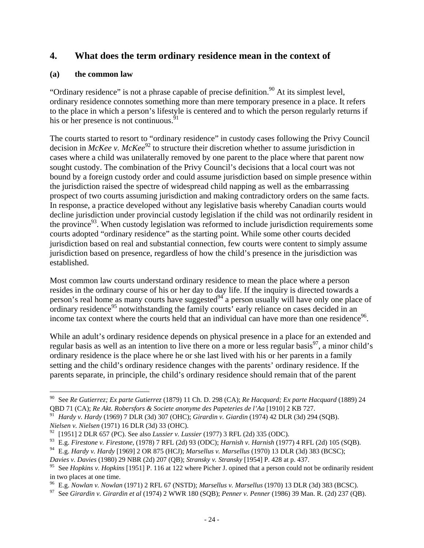### **4. What does the term ordinary residence mean in the context of**

#### **(a) the common law**

<u>.</u>

"Ordinary residence" is not a phrase capable of precise definition.<sup>90</sup> At its simplest level, ordinary residence connotes something more than mere temporary presence in a place. It refers to the place in which a person's lifestyle is centered and to which the person regularly returns if his or her presence is not continuous. $91$ 

The courts started to resort to "ordinary residence" in custody cases following the Privy Council decision in *McKee v. McKee*<sup>92</sup> to structure their discretion whether to assume jurisdiction in cases where a child was unilaterally removed by one parent to the place where that parent now sought custody. The combination of the Privy Council's decisions that a local court was not bound by a foreign custody order and could assume jurisdiction based on simple presence within the jurisdiction raised the spectre of widespread child napping as well as the embarrassing prospect of two courts assuming jurisdiction and making contradictory orders on the same facts. In response, a practice developed without any legislative basis whereby Canadian courts would decline jurisdiction under provincial custody legislation if the child was not ordinarily resident in the province<sup>93</sup>. When custody legislation was reformed to include jurisdiction requirements some courts adopted "ordinary residence" as the starting point. While some other courts decided jurisdiction based on real and substantial connection, few courts were content to simply assume jurisdiction based on presence, regardless of how the child's presence in the jurisdiction was established.

Most common law courts understand ordinary residence to mean the place where a person resides in the ordinary course of his or her day to day life. If the inquiry is directed towards a person's real home as many courts have suggested $94^4$  a person usually will have only one place of ordinary residence<sup>95</sup> notwithstanding the family courts' early reliance on cases decided in an income tax context where the courts held that an individual can have more than one residence<sup>96</sup>.

While an adult's ordinary residence depends on physical presence in a place for an extended and regular basis as well as an intention to live there on a more or less regular basis $^{97}$ , a minor child's ordinary residence is the place where he or she last lived with his or her parents in a family setting and the child's ordinary residence changes with the parents' ordinary residence. If the parents separate, in principle, the child's ordinary residence should remain that of the parent

<sup>90</sup> See *Re Gutierrez; Ex parte Gutierrez* (1879) 11 Ch. D. 298 (CA); *Re Hacquard; Ex parte Hacquard* (1889) 24 QBD 71 (CA); *Re Akt. Robersfors & Societe anonyme des Papeteries de l'Aa* [1910] 2 KB 727.

<sup>91</sup> *Hardy v. Hardy* (1969) 7 DLR (3d) 307 (OHC); *Girardin v. Giardin* (1974) 42 DLR (3d) 294 (SQB). *Nielsen v. Nielsen* (1971) 16 DLR (3d) 33 (OHC).

<sup>92 [1951] 2</sup> DLR 657 (PC). See also *Lussier v. Lussier* (1977) 3 RFL (2d) 335 (ODC).

<sup>93</sup> E.g. *Firestone v. Firestone*, (1978) 7 RFL (2d) 93 (ODC); *Harnish v. Harnish* (1977) 4 RFL (2d) 105 (SQB).

<sup>94</sup> E.g. *Hardy v. Hardy* [1969] 2 OR 875 (HCJ); *Marsellus v. Marsellus* (1970) 13 DLR (3d) 383 (BCSC); *Davies v. Davies* (1980) 29 NBR (2d) 207 (QB); *Stransky v. Stransky* [1954] P. 428 at p. 437.

<sup>&</sup>lt;sup>95</sup> See *Hopkins v. Hopkins* [1951] P. 116 at 122 where Picher J. opined that a person could not be ordinarily resident in two places at one time.<br><sup>96</sup> E.g. *Nowlan v. Nowlan* (1971) 2 RFL 67 (NSTD); *Marsellus v. Marsellus* (1970) 13 DLR (3d) 383 (BCSC).

<sup>&</sup>lt;sup>97</sup> See Girardin v. Girardin et al (1974) 2 WWR 180 (SQB); Penner v. Penner (1986) 39 Man. R. (2d) 237 (QB).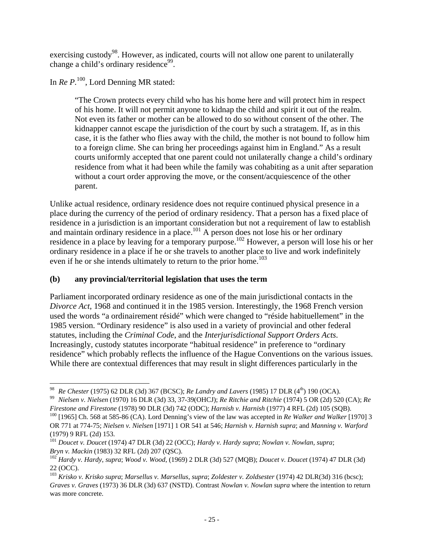exercising custody<sup>98</sup>. However, as indicated, courts will not allow one parent to unilaterally change a child's ordinary residence<sup>99</sup>.

In *Re P.*<sup>100</sup>, Lord Denning MR stated:

"The Crown protects every child who has his home here and will protect him in respect of his home. It will not permit anyone to kidnap the child and spirit it out of the realm. Not even its father or mother can be allowed to do so without consent of the other. The kidnapper cannot escape the jurisdiction of the court by such a stratagem. If, as in this case, it is the father who flies away with the child, the mother is not bound to follow him to a foreign clime. She can bring her proceedings against him in England." As a result courts uniformly accepted that one parent could not unilaterally change a child's ordinary residence from what it had been while the family was cohabiting as a unit after separation without a court order approving the move, or the consent/acquiescence of the other parent.

Unlike actual residence, ordinary residence does not require continued physical presence in a place during the currency of the period of ordinary residency. That a person has a fixed place of residence in a jurisdiction is an important consideration but not a requirement of law to establish and maintain ordinary residence in a place.<sup>101</sup> A person does not lose his or her ordinary residence in a place by leaving for a temporary purpose.<sup>102</sup> However, a person will lose his or her ordinary residence in a place if he or she travels to another place to live and work indefinitely even if he or she intends ultimately to return to the prior home.<sup>103</sup>

### **(b) any provincial/territorial legislation that uses the term**

Parliament incorporated ordinary residence as one of the main jurisdictional contacts in the *Divorce Act*, 1968 and continued it in the 1985 version. Interestingly, the 1968 French version used the words "a ordinairement résidé" which were changed to "réside habituellement" in the 1985 version. "Ordinary residence" is also used in a variety of provincial and other federal statutes, including the *Criminal Code*, and the *Interjurisdictional Support Orders Acts*. Increasingly, custody statutes incorporate "habitual residence" in preference to "ordinary residence" which probably reflects the influence of the Hague Conventions on the various issues. While there are contextual differences that may result in slight differences particularly in the

 $\overline{a}$ 

<sup>&</sup>lt;sup>98</sup> *Re Chester* (1975) 62 DLR (3d) 367 (BCSC); *Re Landry and Lavers* (1985) 17 DLR (4<sup>th</sup>) 190 (OCA).<br><sup>99</sup> *Nielsen v. Nielsen* (1970) 16 DLR (3d) 33, 37-39(OHCJ); *Re Ritchie and Ritchie* (1974) 5 OR (2d) 520 (CA); *R Firestone and Firestone* (1978) 90 DLR (3d) 742 (ODC); *Harnish v. Harnish* (1977) 4 RFL (2d) 105 (SQB).<br><sup>100</sup> [1965] Ch. 568 at 585-86 (CA). Lord Denning's view of the law was accepted in *Re Walker and Walker* [1970] 3

OR 771 at 774-75; *Nielsen v. Nielsen* [1971] 1 OR 541 at 546; *Harnish v. Harnish supra*; and *Manning v. Warford* (1979) 9 RFL (2d) 153.

<sup>101</sup> *Doucet v. Doucet* (1974) 47 DLR (3d) 22 (OCC); *Hardy v. Hardy supra*; *Nowlan v. Nowlan, supra*;

*Bryn v. Mackin* (1983) 32 RFL (2d) 207 (QSC). 102 *Hardy v. Hardy*, *supra*; *Wood v. Wood*, (1969) 2 DLR (3d) 527 (MQB); *Doucet v. Doucet* (1974) 47 DLR (3d) 22 (OCC).

<sup>103</sup> *Krisko v. Krisko supra*; *Marsellus v. Marsellus*, *supra*; *Zoldester v. Zoldsester* (1974) 42 DLR(3d) 316 (bcsc); *Graves v. Graves* (1973) 36 DLR (3d) 637 (NSTD). Contrast *Nowlan v. Nowlan supra* where the intention to return was more concrete.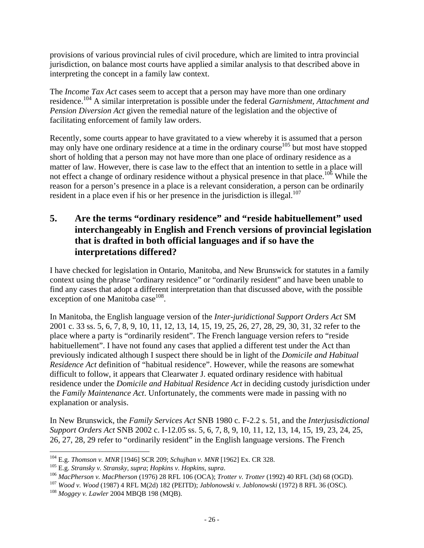provisions of various provincial rules of civil procedure, which are limited to intra provincial jurisdiction, on balance most courts have applied a similar analysis to that described above in interpreting the concept in a family law context.

The *Income Tax Act* cases seem to accept that a person may have more than one ordinary residence.104 A similar interpretation is possible under the federal *Garnishment, Attachment and Pension Diversion Act* given the remedial nature of the legislation and the objective of facilitating enforcement of family law orders.

Recently, some courts appear to have gravitated to a view whereby it is assumed that a person may only have one ordinary residence at a time in the ordinary course<sup> $105$ </sup> but most have stopped short of holding that a person may not have more than one place of ordinary residence as a matter of law. However, there is case law to the effect that an intention to settle in a place will not effect a change of ordinary residence without a physical presence in that place.<sup>106</sup> While the reason for a person's presence in a place is a relevant consideration, a person can be ordinarily resident in a place even if his or her presence in the jurisdiction is illegal.<sup>107</sup>

### **5. Are the terms "ordinary residence" and "reside habituellement" used interchangeably in English and French versions of provincial legislation that is drafted in both official languages and if so have the interpretations differed?**

I have checked for legislation in Ontario, Manitoba, and New Brunswick for statutes in a family context using the phrase "ordinary residence" or "ordinarily resident" and have been unable to find any cases that adopt a different interpretation than that discussed above, with the possible exception of one Manitoba case $^{108}$ .

In Manitoba, the English language version of the *Inter-juridictional Support Orders Act* SM 2001 c. 33 ss. 5, 6, 7, 8, 9, 10, 11, 12, 13, 14, 15, 19, 25, 26, 27, 28, 29, 30, 31, 32 refer to the place where a party is "ordinarily resident". The French language version refers to "reside habituellement". I have not found any cases that applied a different test under the Act than previously indicated although I suspect there should be in light of the *Domicile and Habitual Residence Act* definition of "habitual residence". However, while the reasons are somewhat difficult to follow, it appears that Clearwater J. equated ordinary residence with habitual residence under the *Domicile and Habitual Residence Act* in deciding custody jurisdiction under the *Family Maintenance Act*. Unfortunately, the comments were made in passing with no explanation or analysis.

In New Brunswick, the *Family Services Act* SNB 1980 c. F-2.2 s. 51, and the *Interjusisdictional Support Orders Act* SNB 2002 c. I-12.05 ss. 5, 6, 7, 8, 9, 10, 11, 12, 13, 14, 15, 19, 23, 24, 25, 26, 27, 28, 29 refer to "ordinarily resident" in the English language versions. The French

<sup>&</sup>lt;sup>104</sup> E.g. *Thomson v. MNR* [1946] SCR 209; *Schujhan v. MNR* [1962] Ex. CR 328.

<sup>&</sup>lt;sup>105</sup> E.g. *Stransky v. Stransky, supra*; *Hopkins v. Hopkins, supra.*<br><sup>106</sup> MacPherson v. MacPherson (1976) 28 RFL 106 (OCA); *Trotter v. Trotter* (1992) 40 RFL (3d) 68 (OGD).<br><sup>107</sup> Wood v. Wood (1987) 4 RFL M(2d) 182 (P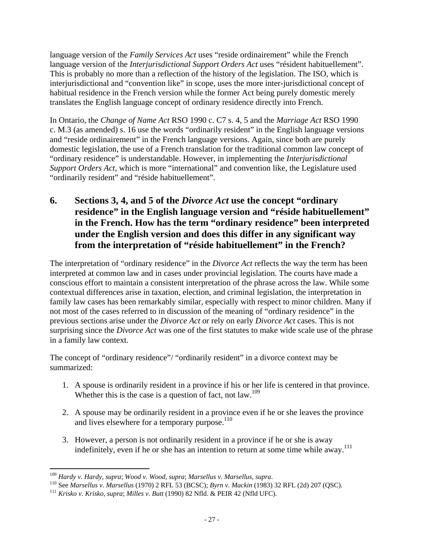language version of the *Family Services Act* uses "reside ordinairement" while the French language version of the *Interjurisdictional Support Orders Act* uses "résident habituellement". This is probably no more than a reflection of the history of the legislation. The ISO, which is interjurisdictional and "convention like" in scope, uses the more inter-jurisdictional concept of habitual residence in the French version while the former Act being purely domestic merely translates the English language concept of ordinary residence directly into French.

In Ontario, the *Change of Name Act* RSO 1990 c. C7 s. 4, 5 and the *Marriage Act* RSO 1990 c. M.3 (as amended) s. 16 use the words "ordinarily resident" in the English language versions and "reside ordinairement" in the French language versions. Again, since both are purely domestic legislation, the use of a French translation for the traditional common law concept of "ordinary residence" is understandable. However, in implementing the *Interjurisdictional Support Orders Act*, which is more "international" and convention like, the Legislature used "ordinarily resident" and "réside habituellement".

**6. Sections 3, 4, and 5 of the** *Divorce Act* **use the concept "ordinary residence" in the English language version and "réside habituellement" in the French. How has the term "ordinary residence" been interpreted under the English version and does this differ in any significant way from the interpretation of "réside habituellement" in the French?** 

The interpretation of "ordinary residence" in the *Divorce Act* reflects the way the term has been interpreted at common law and in cases under provincial legislation. The courts have made a conscious effort to maintain a consistent interpretation of the phrase across the law. While some contextual differences arise in taxation, election, and criminal legislation, the interpretation in family law cases has been remarkably similar, especially with respect to minor children. Many if not most of the cases referred to in discussion of the meaning of "ordinary residence" in the previous sections arise under the *Divorce Act* or rely on early *Divorce Act* cases. This is not surprising since the *Divorce Act* was one of the first statutes to make wide scale use of the phrase in a family law context.

The concept of "ordinary residence"/ "ordinarily resident" in a divorce context may be summarized:

- 1. A spouse is ordinarily resident in a province if his or her life is centered in that province. Whether this is the case is a question of fact, not law.<sup>109</sup>
- 2. A spouse may be ordinarily resident in a province even if he or she leaves the province and lives elsewhere for a temporary purpose.<sup>110</sup>
- 3. However, a person is not ordinarily resident in a province if he or she is away indefinitely, even if he or she has an intention to return at some time while away.<sup>111</sup>

<sup>&</sup>lt;sup>109</sup> Hardy v. Hardy, supra; Wood v. Wood, supra; Marsellus v. Marsellus, supra.

<sup>&</sup>lt;sup>110</sup> See *Marsellus v. Marsellus* (1970) 2 RFL 53 (BCSC); *Byrn v. Mackin* (1983) 32 RFL (2d) 207 (QSC).<br><sup>111</sup> Krisko v. Krisko, supra; Milles v. Butt (1990) 82 Nfld. & PEIR 42 (Nfld UFC).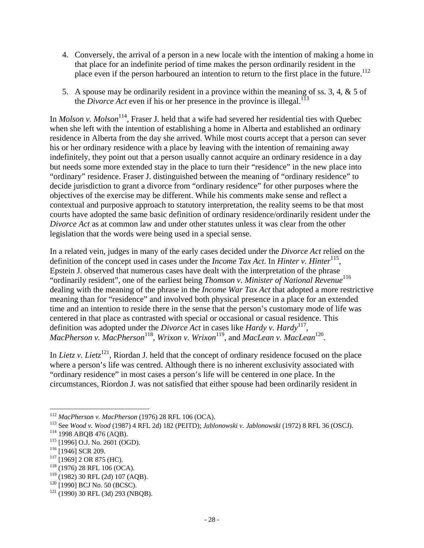- 4. Conversely, the arrival of a person in a new locale with the intention of making a home in that place for an indefinite period of time makes the person ordinarily resident in the place even if the person harboured an intention to return to the first place in the future.<sup>112</sup>
- 5. A spouse may be ordinarily resident in a province within the meaning of ss. 3, 4, & 5 of the *Divorce Act* even if his or her presence in the province is illegal.<sup>113</sup>

In *Molson v. Molson*<sup>114</sup>, Fraser J. held that a wife had severed her residential ties with Quebec when she left with the intention of establishing a home in Alberta and established an ordinary residence in Alberta from the day she arrived. While most courts accept that a person can sever his or her ordinary residence with a place by leaving with the intention of remaining away indefinitely, they point out that a person usually cannot acquire an ordinary residence in a day but needs some more extended stay in the place to turn their "residence" in the new place into "ordinary" residence. Fraser J. distinguished between the meaning of "ordinary residence" to decide jurisdiction to grant a divorce from "ordinary residence" for other purposes where the objectives of the exercise may be different. While his comments make sense and reflect a contextual and purposive approach to statutory interpretation, the reality seems to be that most courts have adopted the same basic definition of ordinary residence/ordinarily resident under the *Divorce Act* as at common law and under other statutes unless it was clear from the other legislation that the words were being used in a special sense.

In a related vein, judges in many of the early cases decided under the *Divorce Act* relied on the definition of the concept used in cases under the *Income Tax Act*. In *Hinter v. Hinter*<sup>115</sup>, Epstein J. observed that numerous cases have dealt with the interpretation of the phrase "ordinarily resident", one of the earliest being *Thomson v. Minister of National Revenue*<sup>116</sup> dealing with the meaning of the phrase in the *Income War Tax Act* that adopted a more restrictive meaning than for "residence" and involved both physical presence in a place for an extended time and an intention to reside there in the sense that the person's customary mode of life was centered in that place as contrasted with special or occasional or casual residence. This definition was adopted under the *Divorce Act* in cases like *Hardy v. Hardy*117, *MacPherson v. MacPherson*<sup>118</sup>, *Wrixon v. Wrixon*<sup>119</sup>, and *MacLean v. MacLean*<sup>120</sup>.

In *Lietz v. Lietz*<sup>121</sup>, Riordan J. held that the concept of ordinary residence focused on the place where a person's life was centred. Although there is no inherent exclusivity associated with "ordinary residence" in most cases a person's life will be centered in one place. In the circumstances, Riordon J. was not satisfied that either spouse had been ordinarily resident in

<sup>&</sup>lt;sup>112</sup> MacPherson v. MacPherson (1976) 28 RFL 106 (OCA).

<sup>&</sup>lt;sup>113</sup> See *Wood v. Wood* (1987) 4 RFL 2d) 182 (PEITD); *Jablonowski v. Jablonowski* (1972) 8 RFL 36 (OSCJ).<br><sup>114</sup> 1998 ABQB 476 (AQB).<br><sup>115</sup> [1996] O.J. No. 2601 (OGD).<br><sup>116</sup> [1946] SCR 209.<br><sup>117</sup> [1969] 2 OR 875 (HC).<br><sup>1</sup>

 $120$  [1990] BCJ No. 50 (BCSC).<br> $121$  (1990) 30 RFL (3d) 293 (NBQB).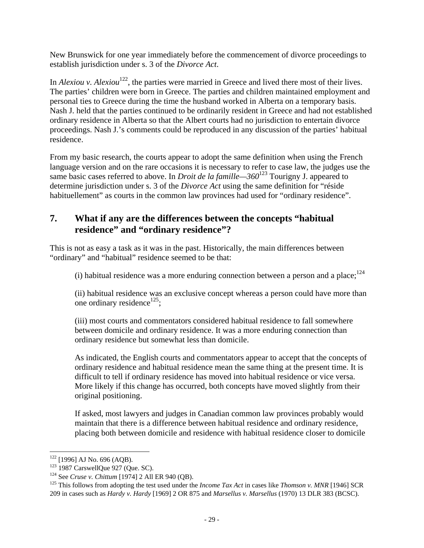New Brunswick for one year immediately before the commencement of divorce proceedings to establish jurisdiction under s. 3 of the *Divorce Act*.

In *Alexiou* v. *Alexiou*<sup>122</sup>, the parties were married in Greece and lived there most of their lives. The parties' children were born in Greece. The parties and children maintained employment and personal ties to Greece during the time the husband worked in Alberta on a temporary basis. Nash J. held that the parties continued to be ordinarily resident in Greece and had not established ordinary residence in Alberta so that the Albert courts had no jurisdiction to entertain divorce proceedings. Nash J.'s comments could be reproduced in any discussion of the parties' habitual residence.

From my basic research, the courts appear to adopt the same definition when using the French language version and on the rare occasions it is necessary to refer to case law, the judges use the same basic cases referred to above. In *Droit de la famille—360*123 Tourigny J. appeared to determine jurisdiction under s. 3 of the *Divorce Act* using the same definition for "réside habituellement" as courts in the common law provinces had used for "ordinary residence".

### **7. What if any are the differences between the concepts "habitual residence" and "ordinary residence"?**

This is not as easy a task as it was in the past. Historically, the main differences between "ordinary" and "habitual" residence seemed to be that:

(i) habitual residence was a more enduring connection between a person and a place;  $^{124}$ 

(ii) habitual residence was an exclusive concept whereas a person could have more than one ordinary residence<sup>125</sup>;

(iii) most courts and commentators considered habitual residence to fall somewhere between domicile and ordinary residence. It was a more enduring connection than ordinary residence but somewhat less than domicile.

As indicated, the English courts and commentators appear to accept that the concepts of ordinary residence and habitual residence mean the same thing at the present time. It is difficult to tell if ordinary residence has moved into habitual residence or vice versa. More likely if this change has occurred, both concepts have moved slightly from their original positioning.

If asked, most lawyers and judges in Canadian common law provinces probably would maintain that there is a difference between habitual residence and ordinary residence, placing both between domicile and residence with habitual residence closer to domicile

 $122$  [1996] AJ No. 696 (AQB).

<sup>&</sup>lt;sup>123</sup> 1987 CarswellQue 927 (Que. SC).<br><sup>124</sup> See *Cruse v. Chittum* [1974] 2 All ER 940 (QB).<br><sup>125</sup> This follows from adopting the test used under the *Income Tax Act* in cases like *Thomson v. MNR* [1946] SCR 209 in cases such as *Hardy v. Hardy* [1969] 2 OR 875 and *Marsellus v. Marsellus* (1970) 13 DLR 383 (BCSC).